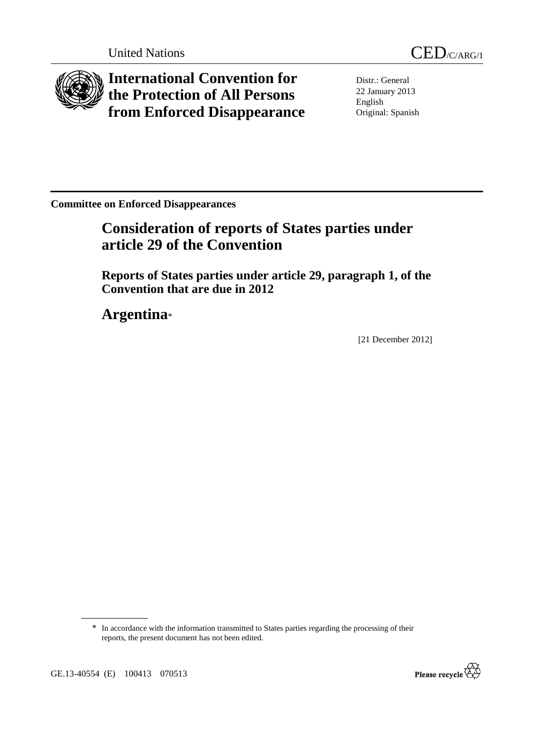

**International Convention for the Protection of All Persons from Enforced Disappearance**

Distr.: General 22 January 2013 English Original: Spanish

**Committee on Enforced Disappearances** 

# **Consideration of reports of States parties under article 29 of the Convention**

 **Reports of States parties under article 29, paragraph 1, of the Convention that are due in 2012** 

 **Argentina**\*

[21 December 2012]

<sup>\*</sup> In accordance with the information transmitted to States parties regarding the processing of their reports, the present document has not been edited.



GE.13-40554 (E) 100413 070513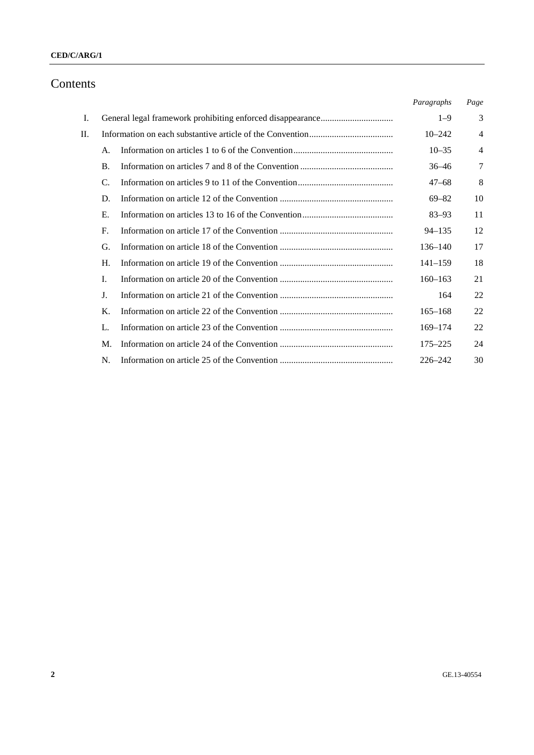### **CED/C/ARG/1**

## Contents

|    |           |  | Paragraphs  | Page           |
|----|-----------|--|-------------|----------------|
| Ι. |           |  | $1 - 9$     | 3              |
| П. |           |  | $10 - 242$  | $\overline{4}$ |
|    | А.        |  | $10 - 35$   | $\overline{4}$ |
|    | <b>B.</b> |  | $36 - 46$   | 7              |
|    | C.        |  | $47 - 68$   | 8              |
|    | D.        |  | $69 - 82$   | 10             |
|    | Е.        |  | $83 - 93$   | 11             |
|    | F.        |  | $94 - 135$  | 12             |
|    | G.        |  | 136–140     | 17             |
|    | Н.        |  | $141 - 159$ | 18             |
|    | I.        |  | $160 - 163$ | 21             |
|    | J.        |  | 164         | 22             |
|    | K.        |  | $165 - 168$ | 22             |
|    | L.        |  | $169 - 174$ | 22             |
|    | M.        |  | $175 - 225$ | 24             |
|    | N.        |  | $226 - 242$ | 30             |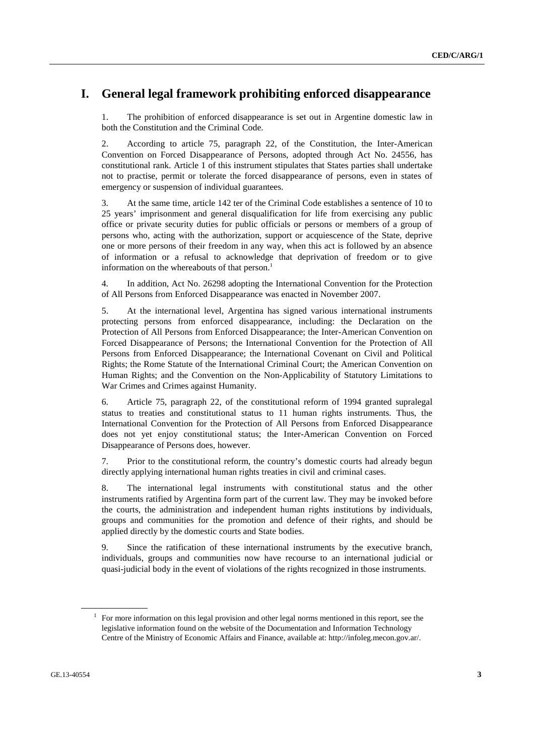## **I. General legal framework prohibiting enforced disappearance**

1. The prohibition of enforced disappearance is set out in Argentine domestic law in both the Constitution and the Criminal Code.

2. According to article 75, paragraph 22, of the Constitution, the Inter-American Convention on Forced Disappearance of Persons, adopted through Act No. 24556, has constitutional rank. Article 1 of this instrument stipulates that States parties shall undertake not to practise, permit or tolerate the forced disappearance of persons, even in states of emergency or suspension of individual guarantees.

3. At the same time, article 142 ter of the Criminal Code establishes a sentence of 10 to 25 years' imprisonment and general disqualification for life from exercising any public office or private security duties for public officials or persons or members of a group of persons who, acting with the authorization, support or acquiescence of the State, deprive one or more persons of their freedom in any way, when this act is followed by an absence of information or a refusal to acknowledge that deprivation of freedom or to give information on the whereabouts of that person.<sup>1</sup>

4. In addition, Act No. 26298 adopting the International Convention for the Protection of All Persons from Enforced Disappearance was enacted in November 2007.

5. At the international level, Argentina has signed various international instruments protecting persons from enforced disappearance, including: the Declaration on the Protection of All Persons from Enforced Disappearance; the Inter-American Convention on Forced Disappearance of Persons; the International Convention for the Protection of All Persons from Enforced Disappearance; the International Covenant on Civil and Political Rights; the Rome Statute of the International Criminal Court; the American Convention on Human Rights; and the Convention on the Non-Applicability of Statutory Limitations to War Crimes and Crimes against Humanity.

6. Article 75, paragraph 22, of the constitutional reform of 1994 granted supralegal status to treaties and constitutional status to 11 human rights instruments. Thus, the International Convention for the Protection of All Persons from Enforced Disappearance does not yet enjoy constitutional status; the Inter-American Convention on Forced Disappearance of Persons does, however.

7. Prior to the constitutional reform, the country's domestic courts had already begun directly applying international human rights treaties in civil and criminal cases.

8. The international legal instruments with constitutional status and the other instruments ratified by Argentina form part of the current law. They may be invoked before the courts, the administration and independent human rights institutions by individuals, groups and communities for the promotion and defence of their rights, and should be applied directly by the domestic courts and State bodies.

9. Since the ratification of these international instruments by the executive branch, individuals, groups and communities now have recourse to an international judicial or quasi-judicial body in the event of violations of the rights recognized in those instruments.

<sup>1</sup> For more information on this legal provision and other legal norms mentioned in this report, see the legislative information found on the website of the Documentation and Information Technology Centre of the Ministry of Economic Affairs and Finance, available at: http://infoleg.mecon.gov.ar/.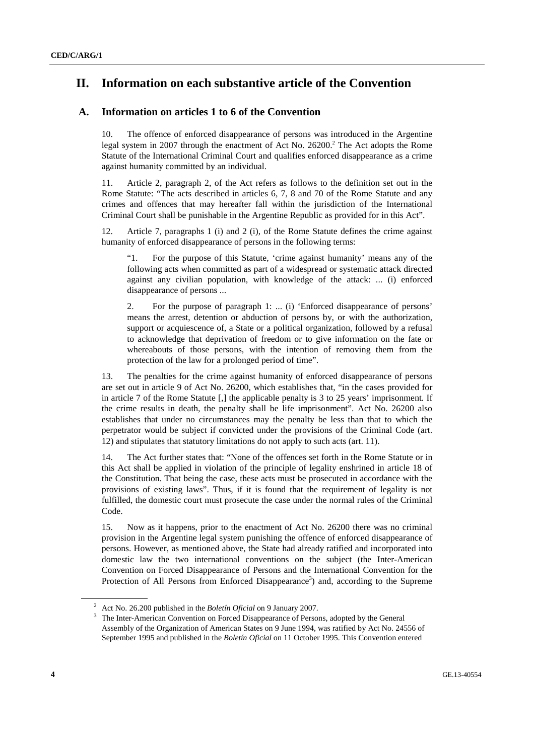## **II. Information on each substantive article of the Convention**

### **A. Information on articles 1 to 6 of the Convention**

10. The offence of enforced disappearance of persons was introduced in the Argentine legal system in 2007 through the enactment of Act No.  $26200$ <sup>2</sup> The Act adopts the Rome Statute of the International Criminal Court and qualifies enforced disappearance as a crime against humanity committed by an individual.

11. Article 2, paragraph 2, of the Act refers as follows to the definition set out in the Rome Statute: "The acts described in articles 6, 7, 8 and 70 of the Rome Statute and any crimes and offences that may hereafter fall within the jurisdiction of the International Criminal Court shall be punishable in the Argentine Republic as provided for in this Act".

12. Article 7, paragraphs 1 (i) and 2 (i), of the Rome Statute defines the crime against humanity of enforced disappearance of persons in the following terms:

"1. For the purpose of this Statute, 'crime against humanity' means any of the following acts when committed as part of a widespread or systematic attack directed against any civilian population, with knowledge of the attack: ... (i) enforced disappearance of persons ...

2. For the purpose of paragraph 1: ... (i) 'Enforced disappearance of persons' means the arrest, detention or abduction of persons by, or with the authorization, support or acquiescence of, a State or a political organization, followed by a refusal to acknowledge that deprivation of freedom or to give information on the fate or whereabouts of those persons, with the intention of removing them from the protection of the law for a prolonged period of time".

13. The penalties for the crime against humanity of enforced disappearance of persons are set out in article 9 of Act No. 26200, which establishes that, "in the cases provided for in article 7 of the Rome Statute [,] the applicable penalty is 3 to 25 years' imprisonment. If the crime results in death, the penalty shall be life imprisonment". Act No. 26200 also establishes that under no circumstances may the penalty be less than that to which the perpetrator would be subject if convicted under the provisions of the Criminal Code (art. 12) and stipulates that statutory limitations do not apply to such acts (art. 11).

14. The Act further states that: "None of the offences set forth in the Rome Statute or in this Act shall be applied in violation of the principle of legality enshrined in article 18 of the Constitution. That being the case, these acts must be prosecuted in accordance with the provisions of existing laws". Thus, if it is found that the requirement of legality is not fulfilled, the domestic court must prosecute the case under the normal rules of the Criminal Code.

15. Now as it happens, prior to the enactment of Act No. 26200 there was no criminal provision in the Argentine legal system punishing the offence of enforced disappearance of persons. However, as mentioned above, the State had already ratified and incorporated into domestic law the two international conventions on the subject (the Inter-American Convention on Forced Disappearance of Persons and the International Convention for the Protection of All Persons from Enforced Disappearance<sup>3</sup>) and, according to the Supreme

<sup>&</sup>lt;sup>2</sup> Act No. 26.200 published in the *Boletín Oficial* on 9 January 2007.

The Inter-American Convention on Forced Disappearance of Persons, adopted by the General Assembly of the Organization of American States on 9 June 1994, was ratified by Act No. 24556 of September 1995 and published in the *Boletín Oficial* on 11 October 1995. This Convention entered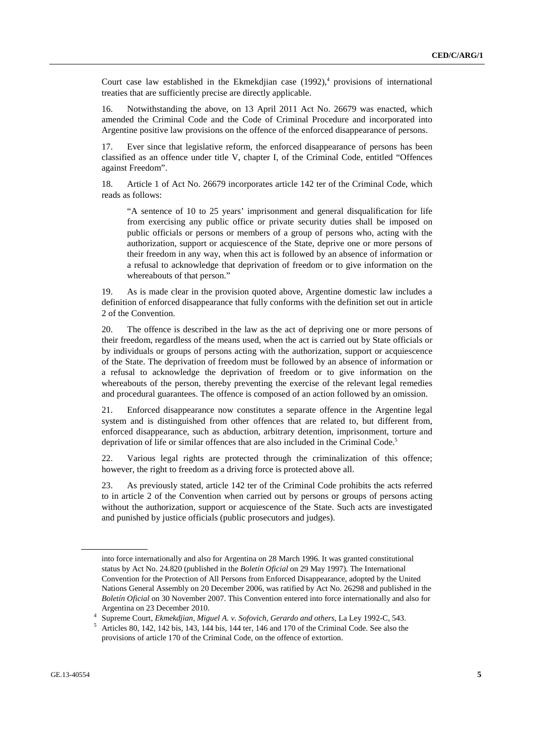Court case law established in the Ekmekdjian case  $(1992)^4$ , provisions of international treaties that are sufficiently precise are directly applicable.

16. Notwithstanding the above, on 13 April 2011 Act No. 26679 was enacted, which amended the Criminal Code and the Code of Criminal Procedure and incorporated into Argentine positive law provisions on the offence of the enforced disappearance of persons.

17. Ever since that legislative reform, the enforced disappearance of persons has been classified as an offence under title V, chapter I, of the Criminal Code, entitled "Offences against Freedom".

18. Article 1 of Act No. 26679 incorporates article 142 ter of the Criminal Code, which reads as follows:

"A sentence of 10 to 25 years' imprisonment and general disqualification for life from exercising any public office or private security duties shall be imposed on public officials or persons or members of a group of persons who, acting with the authorization, support or acquiescence of the State, deprive one or more persons of their freedom in any way, when this act is followed by an absence of information or a refusal to acknowledge that deprivation of freedom or to give information on the whereabouts of that person."

19. As is made clear in the provision quoted above, Argentine domestic law includes a definition of enforced disappearance that fully conforms with the definition set out in article 2 of the Convention.

20. The offence is described in the law as the act of depriving one or more persons of their freedom, regardless of the means used, when the act is carried out by State officials or by individuals or groups of persons acting with the authorization, support or acquiescence of the State. The deprivation of freedom must be followed by an absence of information or a refusal to acknowledge the deprivation of freedom or to give information on the whereabouts of the person, thereby preventing the exercise of the relevant legal remedies and procedural guarantees. The offence is composed of an action followed by an omission.

21. Enforced disappearance now constitutes a separate offence in the Argentine legal system and is distinguished from other offences that are related to, but different from, enforced disappearance, such as abduction, arbitrary detention, imprisonment, torture and deprivation of life or similar offences that are also included in the Criminal Code.<sup>5</sup>

22. Various legal rights are protected through the criminalization of this offence; however, the right to freedom as a driving force is protected above all.

23. As previously stated, article 142 ter of the Criminal Code prohibits the acts referred to in article 2 of the Convention when carried out by persons or groups of persons acting without the authorization, support or acquiescence of the State. Such acts are investigated and punished by justice officials (public prosecutors and judges).

into force internationally and also for Argentina on 28 March 1996. It was granted constitutional status by Act No. 24.820 (published in the *Boletín Oficial* on 29 May 1997). The International Convention for the Protection of All Persons from Enforced Disappearance, adopted by the United Nations General Assembly on 20 December 2006, was ratified by Act No. 26298 and published in the *Boletín Oficial* on 30 November 2007. This Convention entered into force internationally and also for Argentina on 23 December 2010.

Supreme Court, *Ekmekdjian, Miguel A. v. Sofovich, Gerardo and others*, La Ley 1992-C, 543. 5

Articles 80, 142, 142 bis, 143, 144 bis, 144 ter, 146 and 170 of the Criminal Code. See also the provisions of article 170 of the Criminal Code, on the offence of extortion.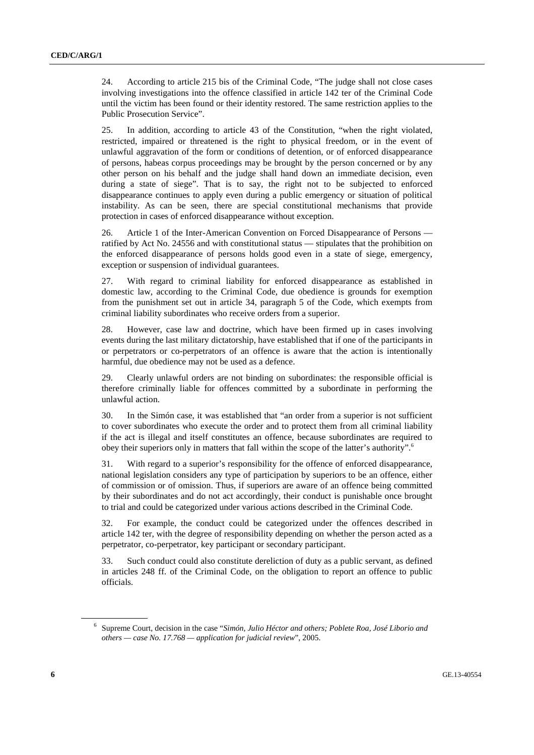24. According to article 215 bis of the Criminal Code, "The judge shall not close cases involving investigations into the offence classified in article 142 ter of the Criminal Code until the victim has been found or their identity restored. The same restriction applies to the Public Prosecution Service".

25. In addition, according to article 43 of the Constitution, "when the right violated, restricted, impaired or threatened is the right to physical freedom, or in the event of unlawful aggravation of the form or conditions of detention, or of enforced disappearance of persons, habeas corpus proceedings may be brought by the person concerned or by any other person on his behalf and the judge shall hand down an immediate decision, even during a state of siege". That is to say, the right not to be subjected to enforced disappearance continues to apply even during a public emergency or situation of political instability. As can be seen, there are special constitutional mechanisms that provide protection in cases of enforced disappearance without exception.

26. Article 1 of the Inter-American Convention on Forced Disappearance of Persons ratified by Act No. 24556 and with constitutional status — stipulates that the prohibition on the enforced disappearance of persons holds good even in a state of siege, emergency, exception or suspension of individual guarantees.

27. With regard to criminal liability for enforced disappearance as established in domestic law, according to the Criminal Code, due obedience is grounds for exemption from the punishment set out in article 34, paragraph 5 of the Code, which exempts from criminal liability subordinates who receive orders from a superior.

28. However, case law and doctrine, which have been firmed up in cases involving events during the last military dictatorship, have established that if one of the participants in or perpetrators or co-perpetrators of an offence is aware that the action is intentionally harmful, due obedience may not be used as a defence.

29. Clearly unlawful orders are not binding on subordinates: the responsible official is therefore criminally liable for offences committed by a subordinate in performing the unlawful action.

30. In the Simón case, it was established that "an order from a superior is not sufficient to cover subordinates who execute the order and to protect them from all criminal liability if the act is illegal and itself constitutes an offence, because subordinates are required to obey their superiors only in matters that fall within the scope of the latter's authority".<sup>6</sup>

31. With regard to a superior's responsibility for the offence of enforced disappearance, national legislation considers any type of participation by superiors to be an offence, either of commission or of omission. Thus, if superiors are aware of an offence being committed by their subordinates and do not act accordingly, their conduct is punishable once brought to trial and could be categorized under various actions described in the Criminal Code.

32. For example, the conduct could be categorized under the offences described in article 142 ter, with the degree of responsibility depending on whether the person acted as a perpetrator, co-perpetrator, key participant or secondary participant.

33. Such conduct could also constitute dereliction of duty as a public servant, as defined in articles 248 ff. of the Criminal Code, on the obligation to report an offence to public officials.

<sup>6</sup> Supreme Court, decision in the case "*Simón, Julio Héctor and others; Poblete Roa, José Liborio and others — case No. 17.768 — application for judicial review*", 2005.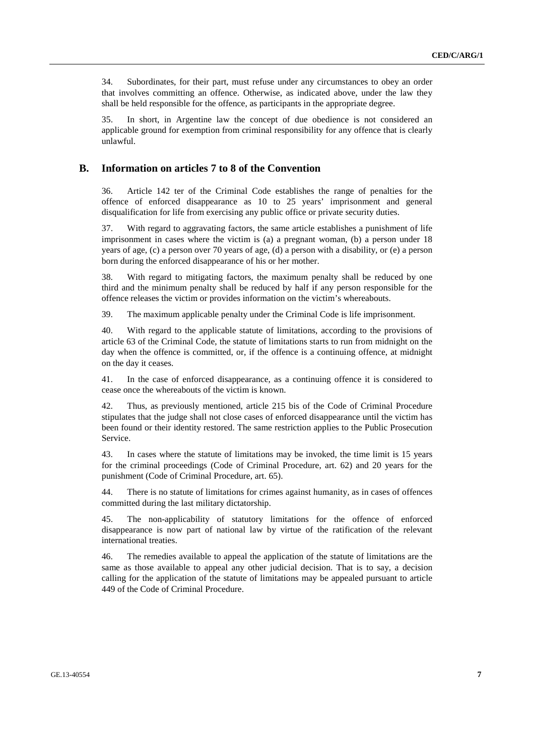34. Subordinates, for their part, must refuse under any circumstances to obey an order that involves committing an offence. Otherwise, as indicated above, under the law they shall be held responsible for the offence, as participants in the appropriate degree.

35. In short, in Argentine law the concept of due obedience is not considered an applicable ground for exemption from criminal responsibility for any offence that is clearly unlawful.

### **B. Information on articles 7 to 8 of the Convention**

36. Article 142 ter of the Criminal Code establishes the range of penalties for the offence of enforced disappearance as 10 to 25 years' imprisonment and general disqualification for life from exercising any public office or private security duties.

37. With regard to aggravating factors, the same article establishes a punishment of life imprisonment in cases where the victim is (a) a pregnant woman, (b) a person under 18 years of age, (c) a person over 70 years of age, (d) a person with a disability, or (e) a person born during the enforced disappearance of his or her mother.

38. With regard to mitigating factors, the maximum penalty shall be reduced by one third and the minimum penalty shall be reduced by half if any person responsible for the offence releases the victim or provides information on the victim's whereabouts.

39. The maximum applicable penalty under the Criminal Code is life imprisonment.

40. With regard to the applicable statute of limitations, according to the provisions of article 63 of the Criminal Code, the statute of limitations starts to run from midnight on the day when the offence is committed, or, if the offence is a continuing offence, at midnight on the day it ceases.

41. In the case of enforced disappearance, as a continuing offence it is considered to cease once the whereabouts of the victim is known.

42. Thus, as previously mentioned, article 215 bis of the Code of Criminal Procedure stipulates that the judge shall not close cases of enforced disappearance until the victim has been found or their identity restored. The same restriction applies to the Public Prosecution Service.

43. In cases where the statute of limitations may be invoked, the time limit is 15 years for the criminal proceedings (Code of Criminal Procedure, art. 62) and 20 years for the punishment (Code of Criminal Procedure, art. 65).

44. There is no statute of limitations for crimes against humanity, as in cases of offences committed during the last military dictatorship.

45. The non-applicability of statutory limitations for the offence of enforced disappearance is now part of national law by virtue of the ratification of the relevant international treaties.

46. The remedies available to appeal the application of the statute of limitations are the same as those available to appeal any other judicial decision. That is to say, a decision calling for the application of the statute of limitations may be appealed pursuant to article 449 of the Code of Criminal Procedure.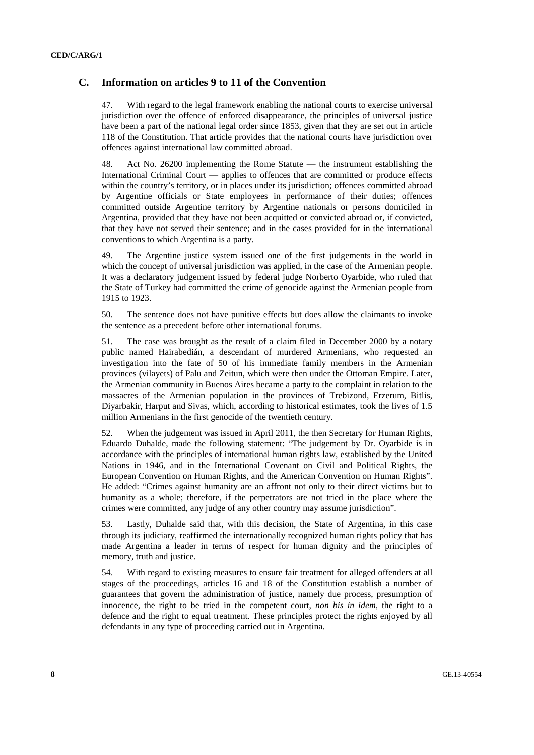### **C. Information on articles 9 to 11 of the Convention**

47. With regard to the legal framework enabling the national courts to exercise universal jurisdiction over the offence of enforced disappearance, the principles of universal justice have been a part of the national legal order since 1853, given that they are set out in article 118 of the Constitution. That article provides that the national courts have jurisdiction over offences against international law committed abroad.

48. Act No. 26200 implementing the Rome Statute — the instrument establishing the International Criminal Court — applies to offences that are committed or produce effects within the country's territory, or in places under its jurisdiction; offences committed abroad by Argentine officials or State employees in performance of their duties; offences committed outside Argentine territory by Argentine nationals or persons domiciled in Argentina, provided that they have not been acquitted or convicted abroad or, if convicted, that they have not served their sentence; and in the cases provided for in the international conventions to which Argentina is a party.

49. The Argentine justice system issued one of the first judgements in the world in which the concept of universal jurisdiction was applied, in the case of the Armenian people. It was a declaratory judgement issued by federal judge Norberto Oyarbide, who ruled that the State of Turkey had committed the crime of genocide against the Armenian people from 1915 to 1923.

50. The sentence does not have punitive effects but does allow the claimants to invoke the sentence as a precedent before other international forums.

51. The case was brought as the result of a claim filed in December 2000 by a notary public named Hairabedián, a descendant of murdered Armenians, who requested an investigation into the fate of 50 of his immediate family members in the Armenian provinces (vilayets) of Palu and Zeitun, which were then under the Ottoman Empire. Later, the Armenian community in Buenos Aires became a party to the complaint in relation to the massacres of the Armenian population in the provinces of Trebizond, Erzerum, Bitlis, Diyarbakir, Harput and Sivas, which, according to historical estimates, took the lives of 1.5 million Armenians in the first genocide of the twentieth century.

52. When the judgement was issued in April 2011, the then Secretary for Human Rights, Eduardo Duhalde, made the following statement: "The judgement by Dr. Oyarbide is in accordance with the principles of international human rights law, established by the United Nations in 1946, and in the International Covenant on Civil and Political Rights, the European Convention on Human Rights, and the American Convention on Human Rights". He added: "Crimes against humanity are an affront not only to their direct victims but to humanity as a whole; therefore, if the perpetrators are not tried in the place where the crimes were committed, any judge of any other country may assume jurisdiction".

53. Lastly, Duhalde said that, with this decision, the State of Argentina, in this case through its judiciary, reaffirmed the internationally recognized human rights policy that has made Argentina a leader in terms of respect for human dignity and the principles of memory, truth and justice.

54. With regard to existing measures to ensure fair treatment for alleged offenders at all stages of the proceedings, articles 16 and 18 of the Constitution establish a number of guarantees that govern the administration of justice, namely due process, presumption of innocence, the right to be tried in the competent court, *non bis in idem*, the right to a defence and the right to equal treatment. These principles protect the rights enjoyed by all defendants in any type of proceeding carried out in Argentina.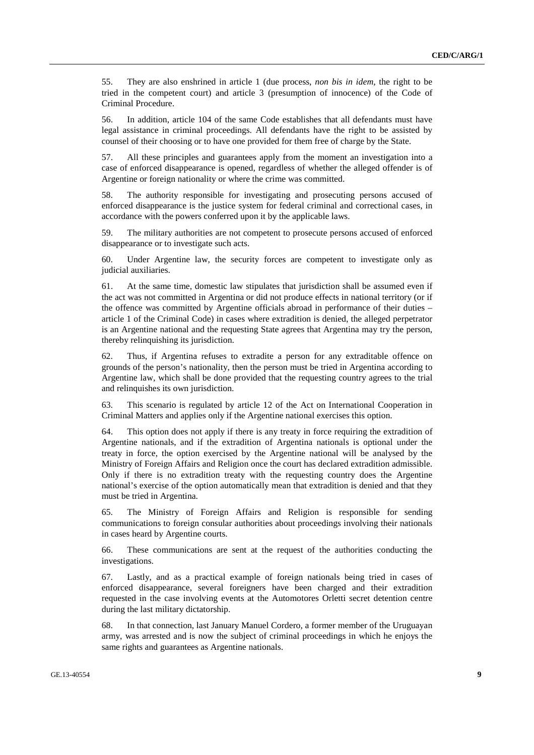55. They are also enshrined in article 1 (due process, *non bis in idem*, the right to be tried in the competent court) and article 3 (presumption of innocence) of the Code of Criminal Procedure.

56. In addition, article 104 of the same Code establishes that all defendants must have legal assistance in criminal proceedings. All defendants have the right to be assisted by counsel of their choosing or to have one provided for them free of charge by the State.

57. All these principles and guarantees apply from the moment an investigation into a case of enforced disappearance is opened, regardless of whether the alleged offender is of Argentine or foreign nationality or where the crime was committed.

58. The authority responsible for investigating and prosecuting persons accused of enforced disappearance is the justice system for federal criminal and correctional cases, in accordance with the powers conferred upon it by the applicable laws.

59. The military authorities are not competent to prosecute persons accused of enforced disappearance or to investigate such acts.

60. Under Argentine law, the security forces are competent to investigate only as judicial auxiliaries.

61. At the same time, domestic law stipulates that jurisdiction shall be assumed even if the act was not committed in Argentina or did not produce effects in national territory (or if the offence was committed by Argentine officials abroad in performance of their duties – article 1 of the Criminal Code) in cases where extradition is denied, the alleged perpetrator is an Argentine national and the requesting State agrees that Argentina may try the person, thereby relinquishing its jurisdiction.

62. Thus, if Argentina refuses to extradite a person for any extraditable offence on grounds of the person's nationality, then the person must be tried in Argentina according to Argentine law, which shall be done provided that the requesting country agrees to the trial and relinquishes its own jurisdiction.

63. This scenario is regulated by article 12 of the Act on International Cooperation in Criminal Matters and applies only if the Argentine national exercises this option.

64. This option does not apply if there is any treaty in force requiring the extradition of Argentine nationals, and if the extradition of Argentina nationals is optional under the treaty in force, the option exercised by the Argentine national will be analysed by the Ministry of Foreign Affairs and Religion once the court has declared extradition admissible. Only if there is no extradition treaty with the requesting country does the Argentine national's exercise of the option automatically mean that extradition is denied and that they must be tried in Argentina.

65. The Ministry of Foreign Affairs and Religion is responsible for sending communications to foreign consular authorities about proceedings involving their nationals in cases heard by Argentine courts.

66. These communications are sent at the request of the authorities conducting the investigations.

67. Lastly, and as a practical example of foreign nationals being tried in cases of enforced disappearance, several foreigners have been charged and their extradition requested in the case involving events at the Automotores Orletti secret detention centre during the last military dictatorship.

68. In that connection, last January Manuel Cordero, a former member of the Uruguayan army, was arrested and is now the subject of criminal proceedings in which he enjoys the same rights and guarantees as Argentine nationals.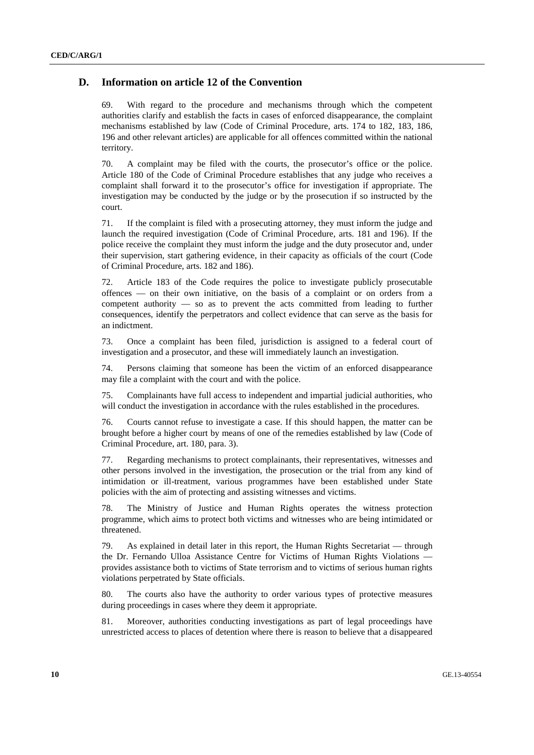### **D. Information on article 12 of the Convention**

69. With regard to the procedure and mechanisms through which the competent authorities clarify and establish the facts in cases of enforced disappearance, the complaint mechanisms established by law (Code of Criminal Procedure, arts. 174 to 182, 183, 186, 196 and other relevant articles) are applicable for all offences committed within the national territory.

70. A complaint may be filed with the courts, the prosecutor's office or the police. Article 180 of the Code of Criminal Procedure establishes that any judge who receives a complaint shall forward it to the prosecutor's office for investigation if appropriate. The investigation may be conducted by the judge or by the prosecution if so instructed by the court.

71. If the complaint is filed with a prosecuting attorney, they must inform the judge and launch the required investigation (Code of Criminal Procedure, arts. 181 and 196). If the police receive the complaint they must inform the judge and the duty prosecutor and, under their supervision, start gathering evidence, in their capacity as officials of the court (Code of Criminal Procedure, arts. 182 and 186).

72. Article 183 of the Code requires the police to investigate publicly prosecutable offences — on their own initiative, on the basis of a complaint or on orders from a competent authority — so as to prevent the acts committed from leading to further consequences, identify the perpetrators and collect evidence that can serve as the basis for an indictment.

73. Once a complaint has been filed, jurisdiction is assigned to a federal court of investigation and a prosecutor, and these will immediately launch an investigation.

74. Persons claiming that someone has been the victim of an enforced disappearance may file a complaint with the court and with the police.

75. Complainants have full access to independent and impartial judicial authorities, who will conduct the investigation in accordance with the rules established in the procedures.

76. Courts cannot refuse to investigate a case. If this should happen, the matter can be brought before a higher court by means of one of the remedies established by law (Code of Criminal Procedure, art. 180, para. 3).

77. Regarding mechanisms to protect complainants, their representatives, witnesses and other persons involved in the investigation, the prosecution or the trial from any kind of intimidation or ill-treatment, various programmes have been established under State policies with the aim of protecting and assisting witnesses and victims.

78. The Ministry of Justice and Human Rights operates the witness protection programme, which aims to protect both victims and witnesses who are being intimidated or threatened.

79. As explained in detail later in this report, the Human Rights Secretariat — through the Dr. Fernando Ulloa Assistance Centre for Victims of Human Rights Violations provides assistance both to victims of State terrorism and to victims of serious human rights violations perpetrated by State officials.

80. The courts also have the authority to order various types of protective measures during proceedings in cases where they deem it appropriate.

81. Moreover, authorities conducting investigations as part of legal proceedings have unrestricted access to places of detention where there is reason to believe that a disappeared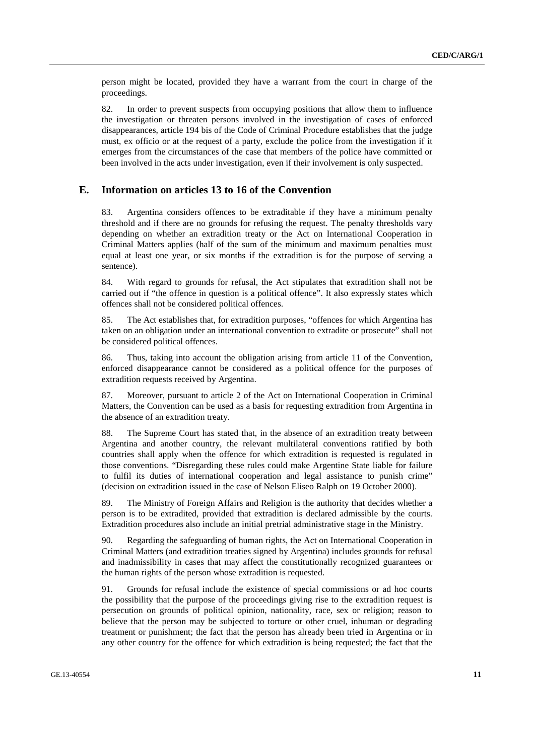person might be located, provided they have a warrant from the court in charge of the proceedings.

82. In order to prevent suspects from occupying positions that allow them to influence the investigation or threaten persons involved in the investigation of cases of enforced disappearances, article 194 bis of the Code of Criminal Procedure establishes that the judge must, ex officio or at the request of a party, exclude the police from the investigation if it emerges from the circumstances of the case that members of the police have committed or been involved in the acts under investigation, even if their involvement is only suspected.

### **E. Information on articles 13 to 16 of the Convention**

83. Argentina considers offences to be extraditable if they have a minimum penalty threshold and if there are no grounds for refusing the request. The penalty thresholds vary depending on whether an extradition treaty or the Act on International Cooperation in Criminal Matters applies (half of the sum of the minimum and maximum penalties must equal at least one year, or six months if the extradition is for the purpose of serving a sentence).

84. With regard to grounds for refusal, the Act stipulates that extradition shall not be carried out if "the offence in question is a political offence". It also expressly states which offences shall not be considered political offences.

85. The Act establishes that, for extradition purposes, "offences for which Argentina has taken on an obligation under an international convention to extradite or prosecute" shall not be considered political offences.

86. Thus, taking into account the obligation arising from article 11 of the Convention, enforced disappearance cannot be considered as a political offence for the purposes of extradition requests received by Argentina.

87. Moreover, pursuant to article 2 of the Act on International Cooperation in Criminal Matters, the Convention can be used as a basis for requesting extradition from Argentina in the absence of an extradition treaty.

88. The Supreme Court has stated that, in the absence of an extradition treaty between Argentina and another country, the relevant multilateral conventions ratified by both countries shall apply when the offence for which extradition is requested is regulated in those conventions. "Disregarding these rules could make Argentine State liable for failure to fulfil its duties of international cooperation and legal assistance to punish crime" (decision on extradition issued in the case of Nelson Eliseo Ralph on 19 October 2000).

89. The Ministry of Foreign Affairs and Religion is the authority that decides whether a person is to be extradited, provided that extradition is declared admissible by the courts. Extradition procedures also include an initial pretrial administrative stage in the Ministry.

90. Regarding the safeguarding of human rights, the Act on International Cooperation in Criminal Matters (and extradition treaties signed by Argentina) includes grounds for refusal and inadmissibility in cases that may affect the constitutionally recognized guarantees or the human rights of the person whose extradition is requested.

91. Grounds for refusal include the existence of special commissions or ad hoc courts the possibility that the purpose of the proceedings giving rise to the extradition request is persecution on grounds of political opinion, nationality, race, sex or religion; reason to believe that the person may be subjected to torture or other cruel, inhuman or degrading treatment or punishment; the fact that the person has already been tried in Argentina or in any other country for the offence for which extradition is being requested; the fact that the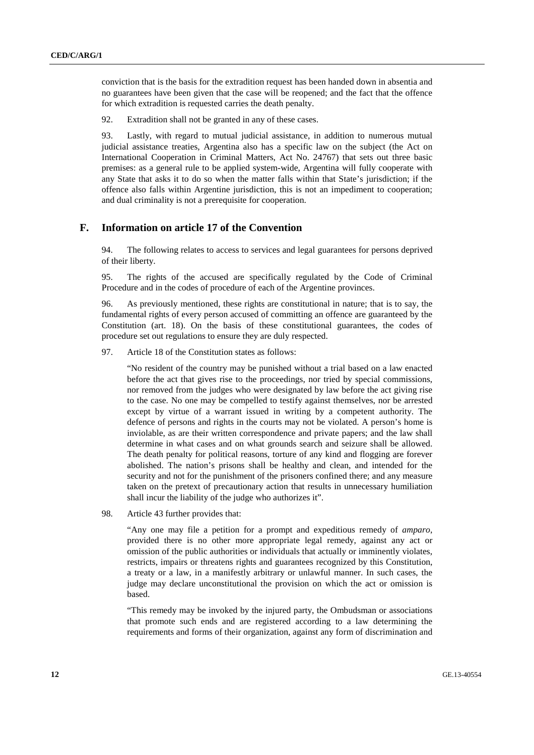conviction that is the basis for the extradition request has been handed down in absentia and no guarantees have been given that the case will be reopened; and the fact that the offence for which extradition is requested carries the death penalty.

92. Extradition shall not be granted in any of these cases.

93. Lastly, with regard to mutual judicial assistance, in addition to numerous mutual judicial assistance treaties, Argentina also has a specific law on the subject (the Act on International Cooperation in Criminal Matters, Act No. 24767) that sets out three basic premises: as a general rule to be applied system-wide, Argentina will fully cooperate with any State that asks it to do so when the matter falls within that State's jurisdiction; if the offence also falls within Argentine jurisdiction, this is not an impediment to cooperation; and dual criminality is not a prerequisite for cooperation.

### **F. Information on article 17 of the Convention**

94. The following relates to access to services and legal guarantees for persons deprived of their liberty.

95. The rights of the accused are specifically regulated by the Code of Criminal Procedure and in the codes of procedure of each of the Argentine provinces.

96. As previously mentioned, these rights are constitutional in nature; that is to say, the fundamental rights of every person accused of committing an offence are guaranteed by the Constitution (art. 18). On the basis of these constitutional guarantees, the codes of procedure set out regulations to ensure they are duly respected.

97. Article 18 of the Constitution states as follows:

"No resident of the country may be punished without a trial based on a law enacted before the act that gives rise to the proceedings, nor tried by special commissions, nor removed from the judges who were designated by law before the act giving rise to the case. No one may be compelled to testify against themselves, nor be arrested except by virtue of a warrant issued in writing by a competent authority. The defence of persons and rights in the courts may not be violated. A person's home is inviolable, as are their written correspondence and private papers; and the law shall determine in what cases and on what grounds search and seizure shall be allowed. The death penalty for political reasons, torture of any kind and flogging are forever abolished. The nation's prisons shall be healthy and clean, and intended for the security and not for the punishment of the prisoners confined there; and any measure taken on the pretext of precautionary action that results in unnecessary humiliation shall incur the liability of the judge who authorizes it".

98. Article 43 further provides that:

"Any one may file a petition for a prompt and expeditious remedy of *amparo*, provided there is no other more appropriate legal remedy, against any act or omission of the public authorities or individuals that actually or imminently violates, restricts, impairs or threatens rights and guarantees recognized by this Constitution, a treaty or a law, in a manifestly arbitrary or unlawful manner. In such cases, the judge may declare unconstitutional the provision on which the act or omission is based.

"This remedy may be invoked by the injured party, the Ombudsman or associations that promote such ends and are registered according to a law determining the requirements and forms of their organization, against any form of discrimination and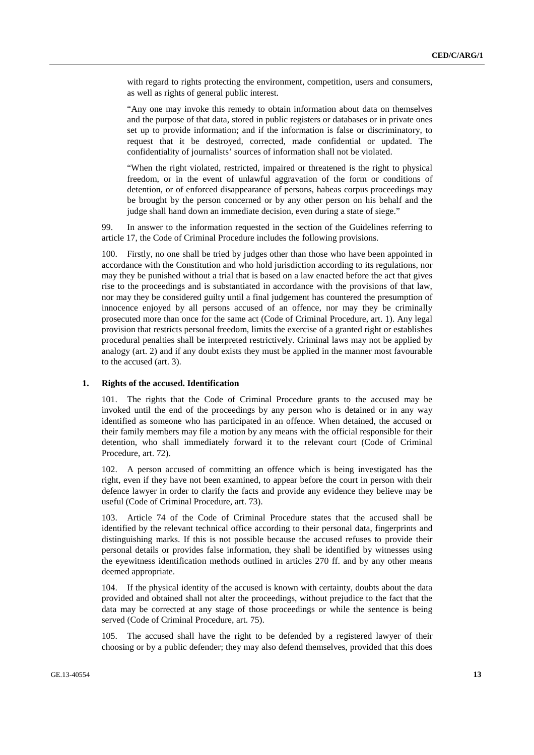with regard to rights protecting the environment, competition, users and consumers, as well as rights of general public interest.

"Any one may invoke this remedy to obtain information about data on themselves and the purpose of that data, stored in public registers or databases or in private ones set up to provide information; and if the information is false or discriminatory, to request that it be destroyed, corrected, made confidential or updated. The confidentiality of journalists' sources of information shall not be violated.

"When the right violated, restricted, impaired or threatened is the right to physical freedom, or in the event of unlawful aggravation of the form or conditions of detention, or of enforced disappearance of persons, habeas corpus proceedings may be brought by the person concerned or by any other person on his behalf and the judge shall hand down an immediate decision, even during a state of siege."

99. In answer to the information requested in the section of the Guidelines referring to article 17, the Code of Criminal Procedure includes the following provisions.

Firstly, no one shall be tried by judges other than those who have been appointed in accordance with the Constitution and who hold jurisdiction according to its regulations, nor may they be punished without a trial that is based on a law enacted before the act that gives rise to the proceedings and is substantiated in accordance with the provisions of that law, nor may they be considered guilty until a final judgement has countered the presumption of innocence enjoyed by all persons accused of an offence, nor may they be criminally prosecuted more than once for the same act (Code of Criminal Procedure, art. 1). Any legal provision that restricts personal freedom, limits the exercise of a granted right or establishes procedural penalties shall be interpreted restrictively. Criminal laws may not be applied by analogy (art. 2) and if any doubt exists they must be applied in the manner most favourable to the accused (art. 3).

### **1. Rights of the accused. Identification**

101. The rights that the Code of Criminal Procedure grants to the accused may be invoked until the end of the proceedings by any person who is detained or in any way identified as someone who has participated in an offence. When detained, the accused or their family members may file a motion by any means with the official responsible for their detention, who shall immediately forward it to the relevant court (Code of Criminal Procedure, art. 72).

102. A person accused of committing an offence which is being investigated has the right, even if they have not been examined, to appear before the court in person with their defence lawyer in order to clarify the facts and provide any evidence they believe may be useful (Code of Criminal Procedure, art. 73).

103. Article 74 of the Code of Criminal Procedure states that the accused shall be identified by the relevant technical office according to their personal data, fingerprints and distinguishing marks. If this is not possible because the accused refuses to provide their personal details or provides false information, they shall be identified by witnesses using the eyewitness identification methods outlined in articles 270 ff. and by any other means deemed appropriate.

104. If the physical identity of the accused is known with certainty, doubts about the data provided and obtained shall not alter the proceedings, without prejudice to the fact that the data may be corrected at any stage of those proceedings or while the sentence is being served (Code of Criminal Procedure, art. 75).

105. The accused shall have the right to be defended by a registered lawyer of their choosing or by a public defender; they may also defend themselves, provided that this does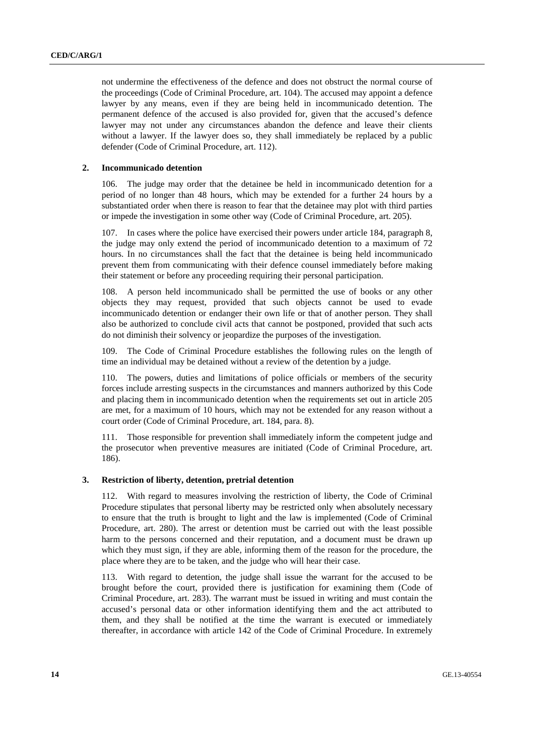not undermine the effectiveness of the defence and does not obstruct the normal course of the proceedings (Code of Criminal Procedure, art. 104). The accused may appoint a defence lawyer by any means, even if they are being held in incommunicado detention. The permanent defence of the accused is also provided for, given that the accused's defence lawyer may not under any circumstances abandon the defence and leave their clients without a lawyer. If the lawyer does so, they shall immediately be replaced by a public defender (Code of Criminal Procedure, art. 112).

#### **2. Incommunicado detention**

106. The judge may order that the detainee be held in incommunicado detention for a period of no longer than 48 hours, which may be extended for a further 24 hours by a substantiated order when there is reason to fear that the detainee may plot with third parties or impede the investigation in some other way (Code of Criminal Procedure, art. 205).

107. In cases where the police have exercised their powers under article 184, paragraph 8, the judge may only extend the period of incommunicado detention to a maximum of 72 hours. In no circumstances shall the fact that the detainee is being held incommunicado prevent them from communicating with their defence counsel immediately before making their statement or before any proceeding requiring their personal participation.

108. A person held incommunicado shall be permitted the use of books or any other objects they may request, provided that such objects cannot be used to evade incommunicado detention or endanger their own life or that of another person. They shall also be authorized to conclude civil acts that cannot be postponed, provided that such acts do not diminish their solvency or jeopardize the purposes of the investigation.

109. The Code of Criminal Procedure establishes the following rules on the length of time an individual may be detained without a review of the detention by a judge.

110. The powers, duties and limitations of police officials or members of the security forces include arresting suspects in the circumstances and manners authorized by this Code and placing them in incommunicado detention when the requirements set out in article 205 are met, for a maximum of 10 hours, which may not be extended for any reason without a court order (Code of Criminal Procedure, art. 184, para. 8).

111. Those responsible for prevention shall immediately inform the competent judge and the prosecutor when preventive measures are initiated (Code of Criminal Procedure, art. 186).

### **3. Restriction of liberty, detention, pretrial detention**

112. With regard to measures involving the restriction of liberty, the Code of Criminal Procedure stipulates that personal liberty may be restricted only when absolutely necessary to ensure that the truth is brought to light and the law is implemented (Code of Criminal Procedure, art. 280). The arrest or detention must be carried out with the least possible harm to the persons concerned and their reputation, and a document must be drawn up which they must sign, if they are able, informing them of the reason for the procedure, the place where they are to be taken, and the judge who will hear their case.

113. With regard to detention, the judge shall issue the warrant for the accused to be brought before the court, provided there is justification for examining them (Code of Criminal Procedure, art. 283). The warrant must be issued in writing and must contain the accused's personal data or other information identifying them and the act attributed to them, and they shall be notified at the time the warrant is executed or immediately thereafter, in accordance with article 142 of the Code of Criminal Procedure. In extremely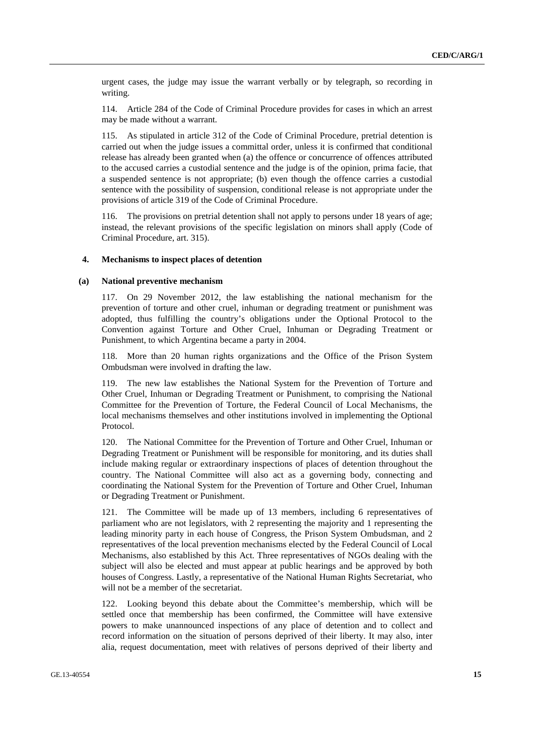urgent cases, the judge may issue the warrant verbally or by telegraph, so recording in writing.

114. Article 284 of the Code of Criminal Procedure provides for cases in which an arrest may be made without a warrant.

115. As stipulated in article 312 of the Code of Criminal Procedure, pretrial detention is carried out when the judge issues a committal order, unless it is confirmed that conditional release has already been granted when (a) the offence or concurrence of offences attributed to the accused carries a custodial sentence and the judge is of the opinion, prima facie, that a suspended sentence is not appropriate; (b) even though the offence carries a custodial sentence with the possibility of suspension, conditional release is not appropriate under the provisions of article 319 of the Code of Criminal Procedure.

116. The provisions on pretrial detention shall not apply to persons under 18 years of age; instead, the relevant provisions of the specific legislation on minors shall apply (Code of Criminal Procedure, art. 315).

### **4. Mechanisms to inspect places of detention**

### **(a) National preventive mechanism**

117. On 29 November 2012, the law establishing the national mechanism for the prevention of torture and other cruel, inhuman or degrading treatment or punishment was adopted, thus fulfilling the country's obligations under the Optional Protocol to the Convention against Torture and Other Cruel, Inhuman or Degrading Treatment or Punishment, to which Argentina became a party in 2004.

118. More than 20 human rights organizations and the Office of the Prison System Ombudsman were involved in drafting the law.

119. The new law establishes the National System for the Prevention of Torture and Other Cruel, Inhuman or Degrading Treatment or Punishment, to comprising the National Committee for the Prevention of Torture, the Federal Council of Local Mechanisms, the local mechanisms themselves and other institutions involved in implementing the Optional Protocol.

120. The National Committee for the Prevention of Torture and Other Cruel, Inhuman or Degrading Treatment or Punishment will be responsible for monitoring, and its duties shall include making regular or extraordinary inspections of places of detention throughout the country. The National Committee will also act as a governing body, connecting and coordinating the National System for the Prevention of Torture and Other Cruel, Inhuman or Degrading Treatment or Punishment.

121. The Committee will be made up of 13 members, including 6 representatives of parliament who are not legislators, with 2 representing the majority and 1 representing the leading minority party in each house of Congress, the Prison System Ombudsman, and 2 representatives of the local prevention mechanisms elected by the Federal Council of Local Mechanisms, also established by this Act. Three representatives of NGOs dealing with the subject will also be elected and must appear at public hearings and be approved by both houses of Congress. Lastly, a representative of the National Human Rights Secretariat, who will not be a member of the secretariat.

122. Looking beyond this debate about the Committee's membership, which will be settled once that membership has been confirmed, the Committee will have extensive powers to make unannounced inspections of any place of detention and to collect and record information on the situation of persons deprived of their liberty. It may also, inter alia, request documentation, meet with relatives of persons deprived of their liberty and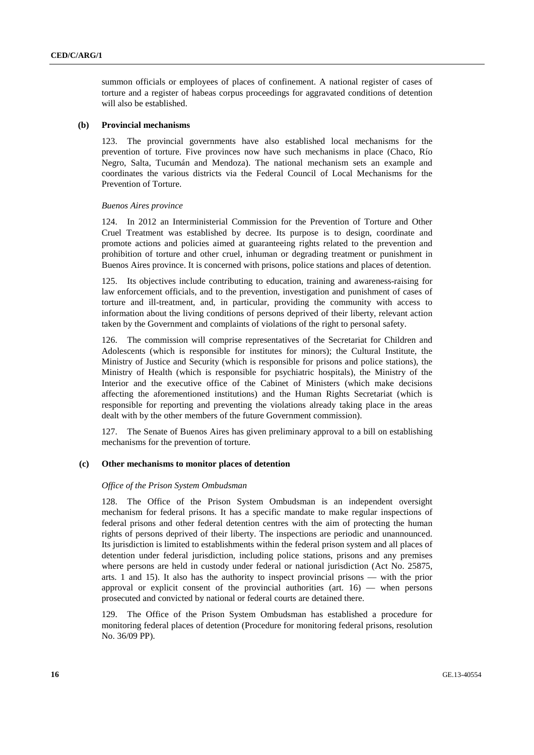summon officials or employees of places of confinement. A national register of cases of torture and a register of habeas corpus proceedings for aggravated conditions of detention will also be established.

#### **(b) Provincial mechanisms**

123. The provincial governments have also established local mechanisms for the prevention of torture. Five provinces now have such mechanisms in place (Chaco, Río Negro, Salta, Tucumán and Mendoza). The national mechanism sets an example and coordinates the various districts via the Federal Council of Local Mechanisms for the Prevention of Torture.

#### *Buenos Aires province*

124. In 2012 an Interministerial Commission for the Prevention of Torture and Other Cruel Treatment was established by decree. Its purpose is to design, coordinate and promote actions and policies aimed at guaranteeing rights related to the prevention and prohibition of torture and other cruel, inhuman or degrading treatment or punishment in Buenos Aires province. It is concerned with prisons, police stations and places of detention.

125. Its objectives include contributing to education, training and awareness-raising for law enforcement officials, and to the prevention, investigation and punishment of cases of torture and ill-treatment, and, in particular, providing the community with access to information about the living conditions of persons deprived of their liberty, relevant action taken by the Government and complaints of violations of the right to personal safety.

126. The commission will comprise representatives of the Secretariat for Children and Adolescents (which is responsible for institutes for minors); the Cultural Institute, the Ministry of Justice and Security (which is responsible for prisons and police stations), the Ministry of Health (which is responsible for psychiatric hospitals), the Ministry of the Interior and the executive office of the Cabinet of Ministers (which make decisions affecting the aforementioned institutions) and the Human Rights Secretariat (which is responsible for reporting and preventing the violations already taking place in the areas dealt with by the other members of the future Government commission).

127. The Senate of Buenos Aires has given preliminary approval to a bill on establishing mechanisms for the prevention of torture.

### **(c) Other mechanisms to monitor places of detention**

#### *Office of the Prison System Ombudsman*

128. The Office of the Prison System Ombudsman is an independent oversight mechanism for federal prisons. It has a specific mandate to make regular inspections of federal prisons and other federal detention centres with the aim of protecting the human rights of persons deprived of their liberty. The inspections are periodic and unannounced. Its jurisdiction is limited to establishments within the federal prison system and all places of detention under federal jurisdiction, including police stations, prisons and any premises where persons are held in custody under federal or national jurisdiction (Act No. 25875, arts. 1 and 15). It also has the authority to inspect provincial prisons — with the prior approval or explicit consent of the provincial authorities (art.  $16$ ) — when persons prosecuted and convicted by national or federal courts are detained there.

129. The Office of the Prison System Ombudsman has established a procedure for monitoring federal places of detention (Procedure for monitoring federal prisons, resolution No. 36/09 PP).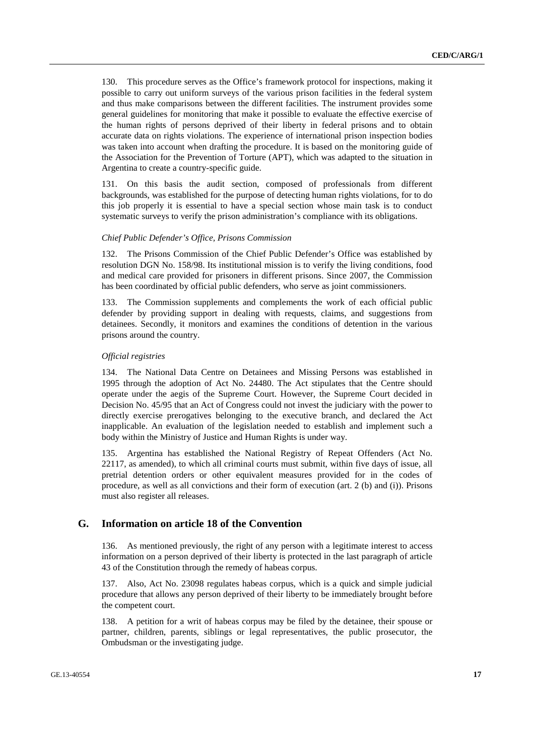130. This procedure serves as the Office's framework protocol for inspections, making it possible to carry out uniform surveys of the various prison facilities in the federal system and thus make comparisons between the different facilities. The instrument provides some general guidelines for monitoring that make it possible to evaluate the effective exercise of the human rights of persons deprived of their liberty in federal prisons and to obtain accurate data on rights violations. The experience of international prison inspection bodies was taken into account when drafting the procedure. It is based on the monitoring guide of the Association for the Prevention of Torture (APT), which was adapted to the situation in Argentina to create a country-specific guide.

131. On this basis the audit section, composed of professionals from different backgrounds, was established for the purpose of detecting human rights violations, for to do this job properly it is essential to have a special section whose main task is to conduct systematic surveys to verify the prison administration's compliance with its obligations.

### *Chief Public Defender's Office, Prisons Commission*

132. The Prisons Commission of the Chief Public Defender's Office was established by resolution DGN No. 158/98. Its institutional mission is to verify the living conditions, food and medical care provided for prisoners in different prisons. Since 2007, the Commission has been coordinated by official public defenders, who serve as joint commissioners.

133. The Commission supplements and complements the work of each official public defender by providing support in dealing with requests, claims, and suggestions from detainees. Secondly, it monitors and examines the conditions of detention in the various prisons around the country.

#### *Official registries*

134. The National Data Centre on Detainees and Missing Persons was established in 1995 through the adoption of Act No. 24480. The Act stipulates that the Centre should operate under the aegis of the Supreme Court. However, the Supreme Court decided in Decision No. 45/95 that an Act of Congress could not invest the judiciary with the power to directly exercise prerogatives belonging to the executive branch, and declared the Act inapplicable. An evaluation of the legislation needed to establish and implement such a body within the Ministry of Justice and Human Rights is under way.

135. Argentina has established the National Registry of Repeat Offenders (Act No. 22117, as amended), to which all criminal courts must submit, within five days of issue, all pretrial detention orders or other equivalent measures provided for in the codes of procedure, as well as all convictions and their form of execution (art. 2 (b) and (i)). Prisons must also register all releases.

### **G. Information on article 18 of the Convention**

136. As mentioned previously, the right of any person with a legitimate interest to access information on a person deprived of their liberty is protected in the last paragraph of article 43 of the Constitution through the remedy of habeas corpus.

137. Also, Act No. 23098 regulates habeas corpus, which is a quick and simple judicial procedure that allows any person deprived of their liberty to be immediately brought before the competent court.

138. A petition for a writ of habeas corpus may be filed by the detainee, their spouse or partner, children, parents, siblings or legal representatives, the public prosecutor, the Ombudsman or the investigating judge.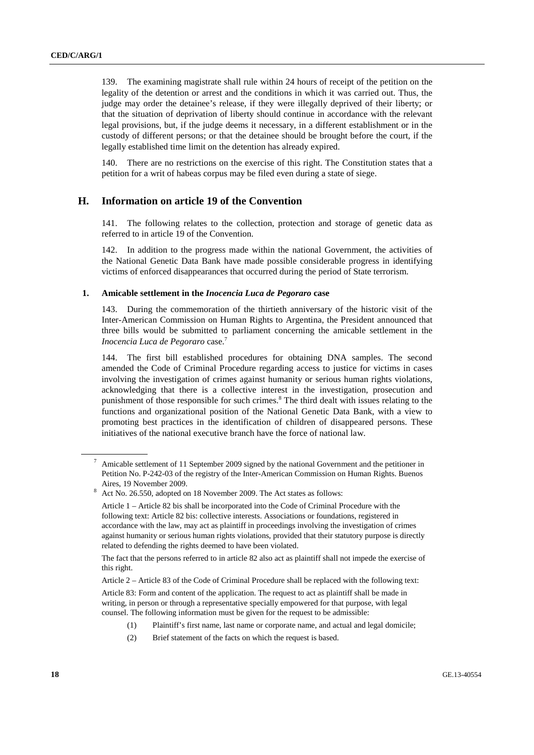139. The examining magistrate shall rule within 24 hours of receipt of the petition on the legality of the detention or arrest and the conditions in which it was carried out. Thus, the judge may order the detainee's release, if they were illegally deprived of their liberty; or that the situation of deprivation of liberty should continue in accordance with the relevant legal provisions, but, if the judge deems it necessary, in a different establishment or in the custody of different persons; or that the detainee should be brought before the court, if the legally established time limit on the detention has already expired.

140. There are no restrictions on the exercise of this right. The Constitution states that a petition for a writ of habeas corpus may be filed even during a state of siege.

### **H. Information on article 19 of the Convention**

141. The following relates to the collection, protection and storage of genetic data as referred to in article 19 of the Convention.

142. In addition to the progress made within the national Government, the activities of the National Genetic Data Bank have made possible considerable progress in identifying victims of enforced disappearances that occurred during the period of State terrorism.

### **1. Amicable settlement in the** *Inocencia Luca de Pegoraro* **case**

143. During the commemoration of the thirtieth anniversary of the historic visit of the Inter-American Commission on Human Rights to Argentina, the President announced that three bills would be submitted to parliament concerning the amicable settlement in the *Inocencia Luca de Pegoraro* case.7

144. The first bill established procedures for obtaining DNA samples. The second amended the Code of Criminal Procedure regarding access to justice for victims in cases involving the investigation of crimes against humanity or serious human rights violations, acknowledging that there is a collective interest in the investigation, prosecution and punishment of those responsible for such crimes.<sup>8</sup> The third dealt with issues relating to the functions and organizational position of the National Genetic Data Bank, with a view to promoting best practices in the identification of children of disappeared persons. These initiatives of the national executive branch have the force of national law.

 The fact that the persons referred to in article 82 also act as plaintiff shall not impede the exercise of this right.

 Article 2 – Article 83 of the Code of Criminal Procedure shall be replaced with the following text: Article 83: Form and content of the application. The request to act as plaintiff shall be made in writing, in person or through a representative specially empowered for that purpose, with legal counsel. The following information must be given for the request to be admissible:

- (1) Plaintiff's first name, last name or corporate name, and actual and legal domicile;
	- (2) Brief statement of the facts on which the request is based.

 $^7$  Amicable settlement of 11 September 2009 signed by the national Government and the petitioner in Petition No. P-242-03 of the registry of the Inter-American Commission on Human Rights. Buenos Aires, 19 November 2009.

Act No. 26.550, adopted on 18 November 2009. The Act states as follows:

Article 1 – Article 82 bis shall be incorporated into the Code of Criminal Procedure with the following text: Article 82 bis: collective interests. Associations or foundations, registered in accordance with the law, may act as plaintiff in proceedings involving the investigation of crimes against humanity or serious human rights violations, provided that their statutory purpose is directly related to defending the rights deemed to have been violated.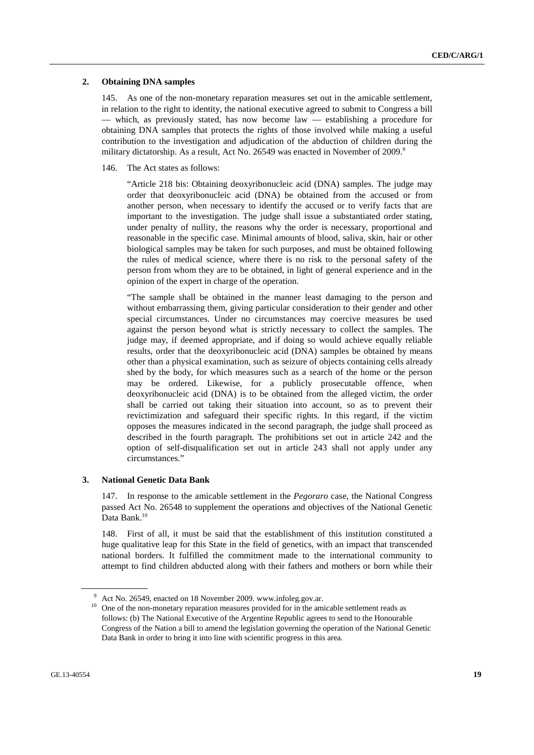#### **2. Obtaining DNA samples**

145. As one of the non-monetary reparation measures set out in the amicable settlement, in relation to the right to identity, the national executive agreed to submit to Congress a bill — which, as previously stated, has now become law — establishing a procedure for obtaining DNA samples that protects the rights of those involved while making a useful contribution to the investigation and adjudication of the abduction of children during the military dictatorship. As a result, Act No. 26549 was enacted in November of 2009.<sup>9</sup>

146. The Act states as follows:

"Article 218 bis: Obtaining deoxyribonucleic acid (DNA) samples. The judge may order that deoxyribonucleic acid (DNA) be obtained from the accused or from another person, when necessary to identify the accused or to verify facts that are important to the investigation. The judge shall issue a substantiated order stating, under penalty of nullity, the reasons why the order is necessary, proportional and reasonable in the specific case. Minimal amounts of blood, saliva, skin, hair or other biological samples may be taken for such purposes, and must be obtained following the rules of medical science, where there is no risk to the personal safety of the person from whom they are to be obtained, in light of general experience and in the opinion of the expert in charge of the operation.

"The sample shall be obtained in the manner least damaging to the person and without embarrassing them, giving particular consideration to their gender and other special circumstances. Under no circumstances may coercive measures be used against the person beyond what is strictly necessary to collect the samples. The judge may, if deemed appropriate, and if doing so would achieve equally reliable results, order that the deoxyribonucleic acid (DNA) samples be obtained by means other than a physical examination, such as seizure of objects containing cells already shed by the body, for which measures such as a search of the home or the person may be ordered. Likewise, for a publicly prosecutable offence, when deoxyribonucleic acid (DNA) is to be obtained from the alleged victim, the order shall be carried out taking their situation into account, so as to prevent their revictimization and safeguard their specific rights. In this regard, if the victim opposes the measures indicated in the second paragraph, the judge shall proceed as described in the fourth paragraph. The prohibitions set out in article 242 and the option of self-disqualification set out in article 243 shall not apply under any circumstances."

#### **3. National Genetic Data Bank**

147. In response to the amicable settlement in the *Pegoraro* case, the National Congress passed Act No. 26548 to supplement the operations and objectives of the National Genetic Data Bank.<sup>10</sup>

148. First of all, it must be said that the establishment of this institution constituted a huge qualitative leap for this State in the field of genetics, with an impact that transcended national borders. It fulfilled the commitment made to the international community to attempt to find children abducted along with their fathers and mothers or born while their

<sup>9</sup> <sup>9</sup> Act No. 26549, enacted on 18 November 2009. www.infoleg.gov.ar.

 $10$  One of the non-monetary reparation measures provided for in the amicable settlement reads as follows: (b) The National Executive of the Argentine Republic agrees to send to the Honourable Congress of the Nation a bill to amend the legislation governing the operation of the National Genetic Data Bank in order to bring it into line with scientific progress in this area.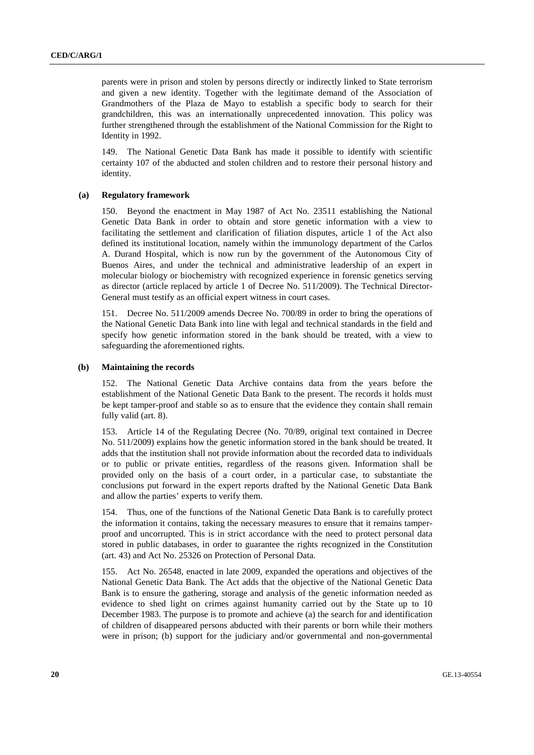parents were in prison and stolen by persons directly or indirectly linked to State terrorism and given a new identity. Together with the legitimate demand of the Association of Grandmothers of the Plaza de Mayo to establish a specific body to search for their grandchildren, this was an internationally unprecedented innovation. This policy was further strengthened through the establishment of the National Commission for the Right to Identity in 1992.

149. The National Genetic Data Bank has made it possible to identify with scientific certainty 107 of the abducted and stolen children and to restore their personal history and identity.

### **(a) Regulatory framework**

150. Beyond the enactment in May 1987 of Act No. 23511 establishing the National Genetic Data Bank in order to obtain and store genetic information with a view to facilitating the settlement and clarification of filiation disputes, article 1 of the Act also defined its institutional location, namely within the immunology department of the Carlos A. Durand Hospital, which is now run by the government of the Autonomous City of Buenos Aires, and under the technical and administrative leadership of an expert in molecular biology or biochemistry with recognized experience in forensic genetics serving as director (article replaced by article 1 of Decree No. 511/2009). The Technical Director-General must testify as an official expert witness in court cases.

151. Decree No. 511/2009 amends Decree No. 700/89 in order to bring the operations of the National Genetic Data Bank into line with legal and technical standards in the field and specify how genetic information stored in the bank should be treated, with a view to safeguarding the aforementioned rights.

#### **(b) Maintaining the records**

152. The National Genetic Data Archive contains data from the years before the establishment of the National Genetic Data Bank to the present. The records it holds must be kept tamper-proof and stable so as to ensure that the evidence they contain shall remain fully valid (art. 8).

153. Article 14 of the Regulating Decree (No. 70/89, original text contained in Decree No. 511/2009) explains how the genetic information stored in the bank should be treated. It adds that the institution shall not provide information about the recorded data to individuals or to public or private entities, regardless of the reasons given. Information shall be provided only on the basis of a court order, in a particular case, to substantiate the conclusions put forward in the expert reports drafted by the National Genetic Data Bank and allow the parties' experts to verify them.

154. Thus, one of the functions of the National Genetic Data Bank is to carefully protect the information it contains, taking the necessary measures to ensure that it remains tamperproof and uncorrupted. This is in strict accordance with the need to protect personal data stored in public databases, in order to guarantee the rights recognized in the Constitution (art. 43) and Act No. 25326 on Protection of Personal Data.

155. Act No. 26548, enacted in late 2009, expanded the operations and objectives of the National Genetic Data Bank. The Act adds that the objective of the National Genetic Data Bank is to ensure the gathering, storage and analysis of the genetic information needed as evidence to shed light on crimes against humanity carried out by the State up to 10 December 1983. The purpose is to promote and achieve (a) the search for and identification of children of disappeared persons abducted with their parents or born while their mothers were in prison; (b) support for the judiciary and/or governmental and non-governmental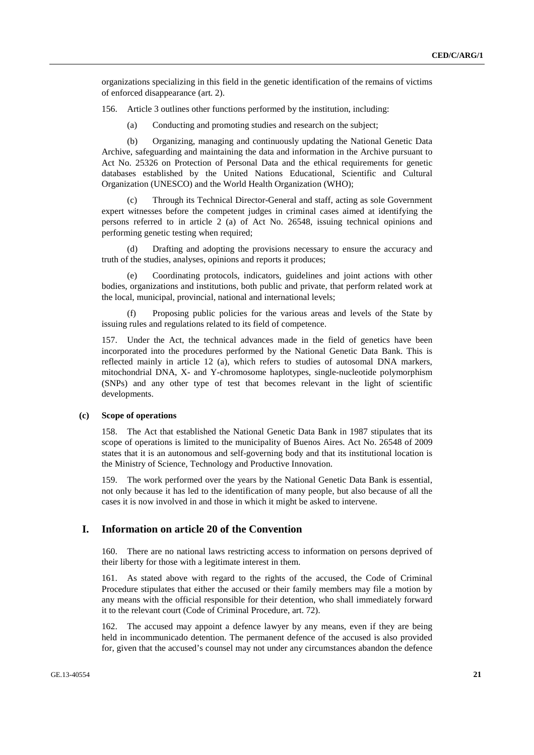organizations specializing in this field in the genetic identification of the remains of victims of enforced disappearance (art. 2).

156. Article 3 outlines other functions performed by the institution, including:

(a) Conducting and promoting studies and research on the subject;

 (b) Organizing, managing and continuously updating the National Genetic Data Archive, safeguarding and maintaining the data and information in the Archive pursuant to Act No. 25326 on Protection of Personal Data and the ethical requirements for genetic databases established by the United Nations Educational, Scientific and Cultural Organization (UNESCO) and the World Health Organization (WHO);

Through its Technical Director-General and staff, acting as sole Government expert witnesses before the competent judges in criminal cases aimed at identifying the persons referred to in article 2 (a) of Act No. 26548, issuing technical opinions and performing genetic testing when required;

 (d) Drafting and adopting the provisions necessary to ensure the accuracy and truth of the studies, analyses, opinions and reports it produces;

Coordinating protocols, indicators, guidelines and joint actions with other bodies, organizations and institutions, both public and private, that perform related work at the local, municipal, provincial, national and international levels;

 (f) Proposing public policies for the various areas and levels of the State by issuing rules and regulations related to its field of competence.

157. Under the Act, the technical advances made in the field of genetics have been incorporated into the procedures performed by the National Genetic Data Bank. This is reflected mainly in article 12 (a), which refers to studies of autosomal DNA markers, mitochondrial DNA, X- and Y-chromosome haplotypes, single-nucleotide polymorphism (SNPs) and any other type of test that becomes relevant in the light of scientific developments.

### **(c) Scope of operations**

158. The Act that established the National Genetic Data Bank in 1987 stipulates that its scope of operations is limited to the municipality of Buenos Aires. Act No. 26548 of 2009 states that it is an autonomous and self-governing body and that its institutional location is the Ministry of Science, Technology and Productive Innovation.

159. The work performed over the years by the National Genetic Data Bank is essential, not only because it has led to the identification of many people, but also because of all the cases it is now involved in and those in which it might be asked to intervene.

### **I. Information on article 20 of the Convention**

160. There are no national laws restricting access to information on persons deprived of their liberty for those with a legitimate interest in them.

161. As stated above with regard to the rights of the accused, the Code of Criminal Procedure stipulates that either the accused or their family members may file a motion by any means with the official responsible for their detention, who shall immediately forward it to the relevant court (Code of Criminal Procedure, art. 72).

162. The accused may appoint a defence lawyer by any means, even if they are being held in incommunicado detention. The permanent defence of the accused is also provided for, given that the accused's counsel may not under any circumstances abandon the defence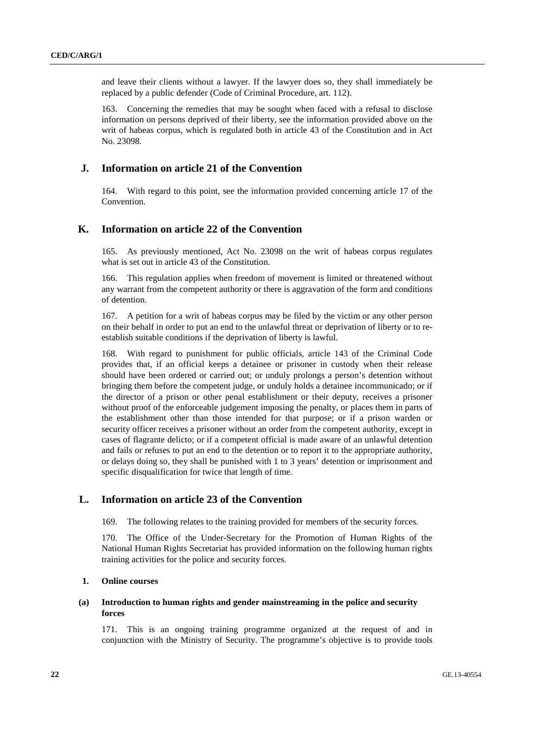and leave their clients without a lawyer. If the lawyer does so, they shall immediately be replaced by a public defender (Code of Criminal Procedure, art. 112).

163. Concerning the remedies that may be sought when faced with a refusal to disclose information on persons deprived of their liberty, see the information provided above on the writ of habeas corpus, which is regulated both in article 43 of the Constitution and in Act No. 23098.

### **J. Information on article 21 of the Convention**

164. With regard to this point, see the information provided concerning article 17 of the Convention.

### **K. Information on article 22 of the Convention**

165. As previously mentioned, Act No. 23098 on the writ of habeas corpus regulates what is set out in article 43 of the Constitution.

166. This regulation applies when freedom of movement is limited or threatened without any warrant from the competent authority or there is aggravation of the form and conditions of detention.

167. A petition for a writ of habeas corpus may be filed by the victim or any other person on their behalf in order to put an end to the unlawful threat or deprivation of liberty or to reestablish suitable conditions if the deprivation of liberty is lawful.

168. With regard to punishment for public officials, article 143 of the Criminal Code provides that, if an official keeps a detainee or prisoner in custody when their release should have been ordered or carried out; or unduly prolongs a person's detention without bringing them before the competent judge, or unduly holds a detainee incommunicado; or if the director of a prison or other penal establishment or their deputy, receives a prisoner without proof of the enforceable judgement imposing the penalty, or places them in parts of the establishment other than those intended for that purpose; or if a prison warden or security officer receives a prisoner without an order from the competent authority, except in cases of flagrante delicto; or if a competent official is made aware of an unlawful detention and fails or refuses to put an end to the detention or to report it to the appropriate authority, or delays doing so, they shall be punished with 1 to 3 years' detention or imprisonment and specific disqualification for twice that length of time.

### **L. Information on article 23 of the Convention**

169. The following relates to the training provided for members of the security forces.

170. The Office of the Under-Secretary for the Promotion of Human Rights of the National Human Rights Secretariat has provided information on the following human rights training activities for the police and security forces.

### **1. Online courses**

### **(a) Introduction to human rights and gender mainstreaming in the police and security forces**

171. This is an ongoing training programme organized at the request of and in conjunction with the Ministry of Security. The programme's objective is to provide tools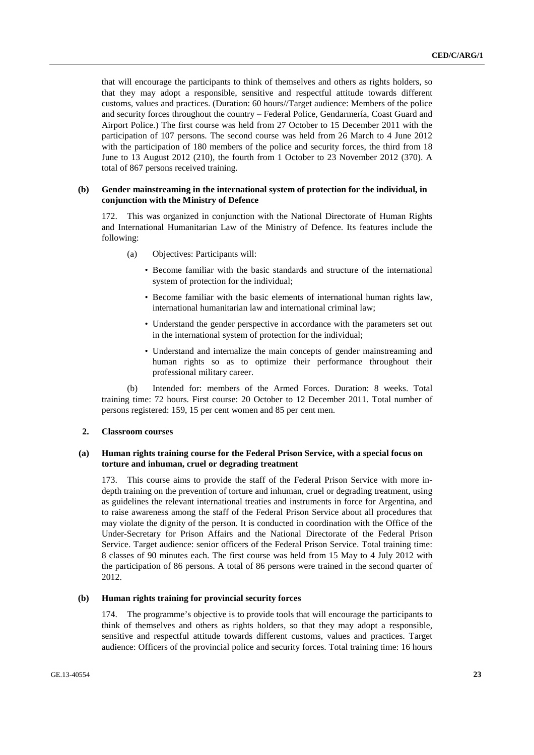that will encourage the participants to think of themselves and others as rights holders, so that they may adopt a responsible, sensitive and respectful attitude towards different customs, values and practices. (Duration: 60 hours//Target audience: Members of the police and security forces throughout the country – Federal Police, Gendarmería, Coast Guard and Airport Police.) The first course was held from 27 October to 15 December 2011 with the participation of 107 persons. The second course was held from 26 March to 4 June 2012 with the participation of 180 members of the police and security forces, the third from 18 June to 13 August 2012 (210), the fourth from 1 October to 23 November 2012 (370). A total of 867 persons received training.

### **(b) Gender mainstreaming in the international system of protection for the individual, in conjunction with the Ministry of Defence**

172. This was organized in conjunction with the National Directorate of Human Rights and International Humanitarian Law of the Ministry of Defence. Its features include the following:

- (a) Objectives: Participants will:
	- Become familiar with the basic standards and structure of the international system of protection for the individual;
	- Become familiar with the basic elements of international human rights law, international humanitarian law and international criminal law;
	- Understand the gender perspective in accordance with the parameters set out in the international system of protection for the individual;
	- Understand and internalize the main concepts of gender mainstreaming and human rights so as to optimize their performance throughout their professional military career.

 (b) Intended for: members of the Armed Forces. Duration: 8 weeks. Total training time: 72 hours. First course: 20 October to 12 December 2011. Total number of persons registered: 159, 15 per cent women and 85 per cent men.

### **2. Classroom courses**

### **(a) Human rights training course for the Federal Prison Service, with a special focus on torture and inhuman, cruel or degrading treatment**

173. This course aims to provide the staff of the Federal Prison Service with more indepth training on the prevention of torture and inhuman, cruel or degrading treatment, using as guidelines the relevant international treaties and instruments in force for Argentina, and to raise awareness among the staff of the Federal Prison Service about all procedures that may violate the dignity of the person. It is conducted in coordination with the Office of the Under-Secretary for Prison Affairs and the National Directorate of the Federal Prison Service. Target audience: senior officers of the Federal Prison Service. Total training time: 8 classes of 90 minutes each. The first course was held from 15 May to 4 July 2012 with the participation of 86 persons. A total of 86 persons were trained in the second quarter of 2012.

### **(b) Human rights training for provincial security forces**

174. The programme's objective is to provide tools that will encourage the participants to think of themselves and others as rights holders, so that they may adopt a responsible, sensitive and respectful attitude towards different customs, values and practices. Target audience: Officers of the provincial police and security forces. Total training time: 16 hours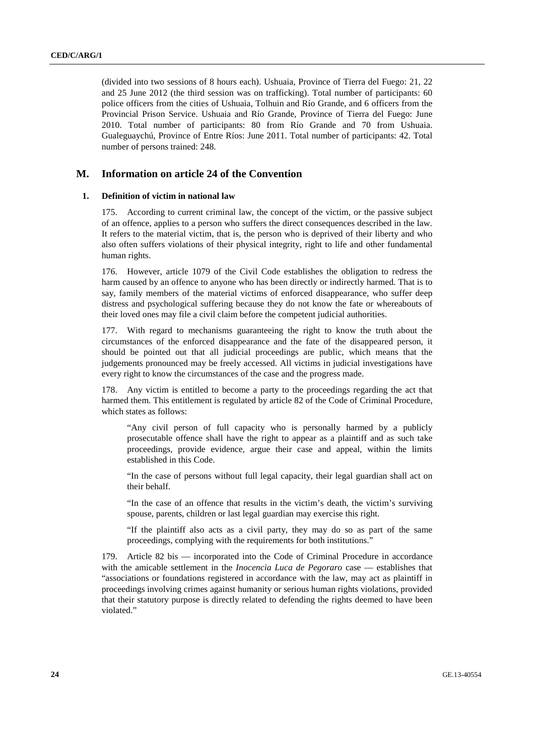(divided into two sessions of 8 hours each). Ushuaia, Province of Tierra del Fuego: 21, 22 and 25 June 2012 (the third session was on trafficking). Total number of participants: 60 police officers from the cities of Ushuaia, Tolhuin and Río Grande, and 6 officers from the Provincial Prison Service. Ushuaia and Río Grande, Province of Tierra del Fuego: June 2010. Total number of participants: 80 from Río Grande and 70 from Ushuaia. Gualeguaychú, Province of Entre Ríos: June 2011. Total number of participants: 42. Total number of persons trained: 248.

### **M. Information on article 24 of the Convention**

#### **1. Definition of victim in national law**

175. According to current criminal law, the concept of the victim, or the passive subject of an offence, applies to a person who suffers the direct consequences described in the law. It refers to the material victim, that is, the person who is deprived of their liberty and who also often suffers violations of their physical integrity, right to life and other fundamental human rights.

176. However, article 1079 of the Civil Code establishes the obligation to redress the harm caused by an offence to anyone who has been directly or indirectly harmed. That is to say, family members of the material victims of enforced disappearance, who suffer deep distress and psychological suffering because they do not know the fate or whereabouts of their loved ones may file a civil claim before the competent judicial authorities.

177. With regard to mechanisms guaranteeing the right to know the truth about the circumstances of the enforced disappearance and the fate of the disappeared person, it should be pointed out that all judicial proceedings are public, which means that the judgements pronounced may be freely accessed. All victims in judicial investigations have every right to know the circumstances of the case and the progress made.

178. Any victim is entitled to become a party to the proceedings regarding the act that harmed them. This entitlement is regulated by article 82 of the Code of Criminal Procedure, which states as follows:

"Any civil person of full capacity who is personally harmed by a publicly prosecutable offence shall have the right to appear as a plaintiff and as such take proceedings, provide evidence, argue their case and appeal, within the limits established in this Code.

"In the case of persons without full legal capacity, their legal guardian shall act on their behalf.

"In the case of an offence that results in the victim's death, the victim's surviving spouse, parents, children or last legal guardian may exercise this right.

"If the plaintiff also acts as a civil party, they may do so as part of the same proceedings, complying with the requirements for both institutions."

179. Article 82 bis — incorporated into the Code of Criminal Procedure in accordance with the amicable settlement in the *Inocencia Luca de Pegoraro* case — establishes that "associations or foundations registered in accordance with the law, may act as plaintiff in proceedings involving crimes against humanity or serious human rights violations, provided that their statutory purpose is directly related to defending the rights deemed to have been violated."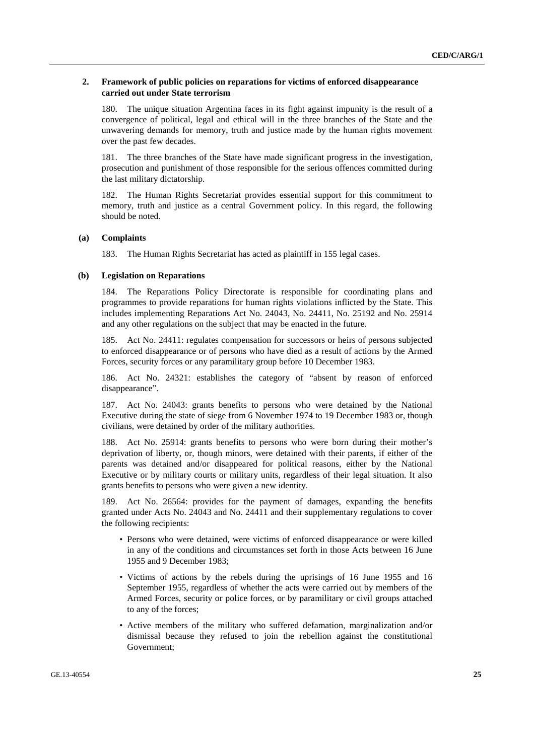### **2. Framework of public policies on reparations for victims of enforced disappearance carried out under State terrorism**

180. The unique situation Argentina faces in its fight against impunity is the result of a convergence of political, legal and ethical will in the three branches of the State and the unwavering demands for memory, truth and justice made by the human rights movement over the past few decades.

181. The three branches of the State have made significant progress in the investigation, prosecution and punishment of those responsible for the serious offences committed during the last military dictatorship.

182. The Human Rights Secretariat provides essential support for this commitment to memory, truth and justice as a central Government policy. In this regard, the following should be noted.

### **(a) Complaints**

183. The Human Rights Secretariat has acted as plaintiff in 155 legal cases.

#### **(b) Legislation on Reparations**

184. The Reparations Policy Directorate is responsible for coordinating plans and programmes to provide reparations for human rights violations inflicted by the State. This includes implementing Reparations Act No. 24043, No. 24411, No. 25192 and No. 25914 and any other regulations on the subject that may be enacted in the future.

185. Act No. 24411: regulates compensation for successors or heirs of persons subjected to enforced disappearance or of persons who have died as a result of actions by the Armed Forces, security forces or any paramilitary group before 10 December 1983.

186. Act No. 24321: establishes the category of "absent by reason of enforced disappearance".

187. Act No. 24043: grants benefits to persons who were detained by the National Executive during the state of siege from 6 November 1974 to 19 December 1983 or, though civilians, were detained by order of the military authorities.

188. Act No. 25914: grants benefits to persons who were born during their mother's deprivation of liberty, or, though minors, were detained with their parents, if either of the parents was detained and/or disappeared for political reasons, either by the National Executive or by military courts or military units, regardless of their legal situation. It also grants benefits to persons who were given a new identity.

189. Act No. 26564: provides for the payment of damages, expanding the benefits granted under Acts No. 24043 and No. 24411 and their supplementary regulations to cover the following recipients:

- Persons who were detained, were victims of enforced disappearance or were killed in any of the conditions and circumstances set forth in those Acts between 16 June 1955 and 9 December 1983;
- Victims of actions by the rebels during the uprisings of 16 June 1955 and 16 September 1955, regardless of whether the acts were carried out by members of the Armed Forces, security or police forces, or by paramilitary or civil groups attached to any of the forces;
- Active members of the military who suffered defamation, marginalization and/or dismissal because they refused to join the rebellion against the constitutional Government;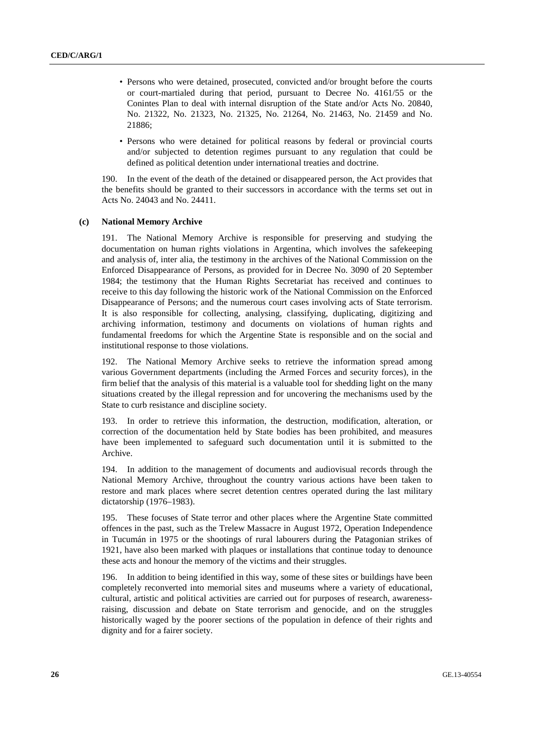- Persons who were detained, prosecuted, convicted and/or brought before the courts or court-martialed during that period, pursuant to Decree No. 4161/55 or the Conintes Plan to deal with internal disruption of the State and/or Acts No. 20840, No. 21322, No. 21323, No. 21325, No. 21264, No. 21463, No. 21459 and No. 21886;
- Persons who were detained for political reasons by federal or provincial courts and/or subjected to detention regimes pursuant to any regulation that could be defined as political detention under international treaties and doctrine.

190. In the event of the death of the detained or disappeared person, the Act provides that the benefits should be granted to their successors in accordance with the terms set out in Acts No. 24043 and No. 24411.

### **(c) National Memory Archive**

191. The National Memory Archive is responsible for preserving and studying the documentation on human rights violations in Argentina, which involves the safekeeping and analysis of, inter alia, the testimony in the archives of the National Commission on the Enforced Disappearance of Persons, as provided for in Decree No. 3090 of 20 September 1984; the testimony that the Human Rights Secretariat has received and continues to receive to this day following the historic work of the National Commission on the Enforced Disappearance of Persons; and the numerous court cases involving acts of State terrorism. It is also responsible for collecting, analysing, classifying, duplicating, digitizing and archiving information, testimony and documents on violations of human rights and fundamental freedoms for which the Argentine State is responsible and on the social and institutional response to those violations.

192. The National Memory Archive seeks to retrieve the information spread among various Government departments (including the Armed Forces and security forces), in the firm belief that the analysis of this material is a valuable tool for shedding light on the many situations created by the illegal repression and for uncovering the mechanisms used by the State to curb resistance and discipline society.

193. In order to retrieve this information, the destruction, modification, alteration, or correction of the documentation held by State bodies has been prohibited, and measures have been implemented to safeguard such documentation until it is submitted to the Archive.

194. In addition to the management of documents and audiovisual records through the National Memory Archive, throughout the country various actions have been taken to restore and mark places where secret detention centres operated during the last military dictatorship (1976–1983).

195. These focuses of State terror and other places where the Argentine State committed offences in the past, such as the Trelew Massacre in August 1972, Operation Independence in Tucumán in 1975 or the shootings of rural labourers during the Patagonian strikes of 1921, have also been marked with plaques or installations that continue today to denounce these acts and honour the memory of the victims and their struggles.

196. In addition to being identified in this way, some of these sites or buildings have been completely reconverted into memorial sites and museums where a variety of educational, cultural, artistic and political activities are carried out for purposes of research, awarenessraising, discussion and debate on State terrorism and genocide, and on the struggles historically waged by the poorer sections of the population in defence of their rights and dignity and for a fairer society.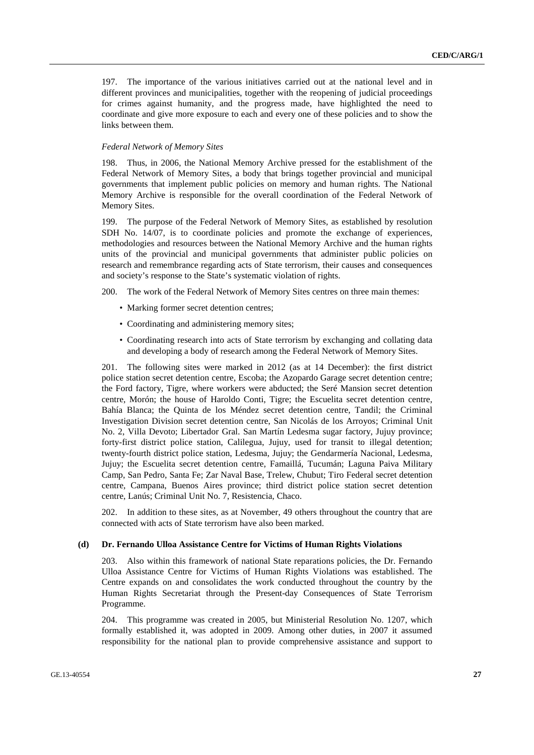197. The importance of the various initiatives carried out at the national level and in different provinces and municipalities, together with the reopening of judicial proceedings for crimes against humanity, and the progress made, have highlighted the need to coordinate and give more exposure to each and every one of these policies and to show the links between them.

#### *Federal Network of Memory Sites*

198. Thus, in 2006, the National Memory Archive pressed for the establishment of the Federal Network of Memory Sites, a body that brings together provincial and municipal governments that implement public policies on memory and human rights. The National Memory Archive is responsible for the overall coordination of the Federal Network of Memory Sites.

199. The purpose of the Federal Network of Memory Sites, as established by resolution SDH No. 14/07, is to coordinate policies and promote the exchange of experiences, methodologies and resources between the National Memory Archive and the human rights units of the provincial and municipal governments that administer public policies on research and remembrance regarding acts of State terrorism, their causes and consequences and society's response to the State's systematic violation of rights.

200. The work of the Federal Network of Memory Sites centres on three main themes:

- Marking former secret detention centres;
- Coordinating and administering memory sites;
- Coordinating research into acts of State terrorism by exchanging and collating data and developing a body of research among the Federal Network of Memory Sites.

201. The following sites were marked in 2012 (as at 14 December): the first district police station secret detention centre, Escoba; the Azopardo Garage secret detention centre; the Ford factory, Tigre, where workers were abducted; the Seré Mansion secret detention centre, Morón; the house of Haroldo Conti, Tigre; the Escuelita secret detention centre, Bahía Blanca; the Quinta de los Méndez secret detention centre, Tandil; the Criminal Investigation Division secret detention centre, San Nicolás de los Arroyos; Criminal Unit No. 2, Villa Devoto; Libertador Gral. San Martín Ledesma sugar factory, Jujuy province; forty-first district police station, Calilegua, Jujuy, used for transit to illegal detention; twenty-fourth district police station, Ledesma, Jujuy; the Gendarmería Nacional, Ledesma, Jujuy; the Escuelita secret detention centre, Famaillá, Tucumán; Laguna Paiva Military Camp, San Pedro, Santa Fe; Zar Naval Base, Trelew, Chubut; Tiro Federal secret detention centre, Campana, Buenos Aires province; third district police station secret detention centre, Lanús; Criminal Unit No. 7, Resistencia, Chaco.

202. In addition to these sites, as at November, 49 others throughout the country that are connected with acts of State terrorism have also been marked.

#### **(d) Dr. Fernando Ulloa Assistance Centre for Victims of Human Rights Violations**

203. Also within this framework of national State reparations policies, the Dr. Fernando Ulloa Assistance Centre for Victims of Human Rights Violations was established. The Centre expands on and consolidates the work conducted throughout the country by the Human Rights Secretariat through the Present-day Consequences of State Terrorism Programme.

204. This programme was created in 2005, but Ministerial Resolution No. 1207, which formally established it, was adopted in 2009. Among other duties, in 2007 it assumed responsibility for the national plan to provide comprehensive assistance and support to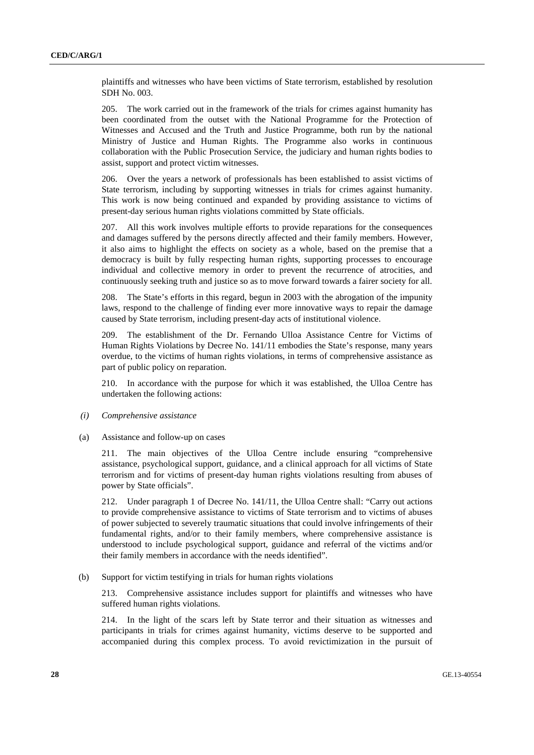plaintiffs and witnesses who have been victims of State terrorism, established by resolution SDH No. 003.

205. The work carried out in the framework of the trials for crimes against humanity has been coordinated from the outset with the National Programme for the Protection of Witnesses and Accused and the Truth and Justice Programme, both run by the national Ministry of Justice and Human Rights. The Programme also works in continuous collaboration with the Public Prosecution Service, the judiciary and human rights bodies to assist, support and protect victim witnesses.

206. Over the years a network of professionals has been established to assist victims of State terrorism, including by supporting witnesses in trials for crimes against humanity. This work is now being continued and expanded by providing assistance to victims of present-day serious human rights violations committed by State officials.

207. All this work involves multiple efforts to provide reparations for the consequences and damages suffered by the persons directly affected and their family members. However, it also aims to highlight the effects on society as a whole, based on the premise that a democracy is built by fully respecting human rights, supporting processes to encourage individual and collective memory in order to prevent the recurrence of atrocities, and continuously seeking truth and justice so as to move forward towards a fairer society for all.

208. The State's efforts in this regard, begun in 2003 with the abrogation of the impunity laws, respond to the challenge of finding ever more innovative ways to repair the damage caused by State terrorism, including present-day acts of institutional violence.

209. The establishment of the Dr. Fernando Ulloa Assistance Centre for Victims of Human Rights Violations by Decree No. 141/11 embodies the State's response, many years overdue, to the victims of human rights violations, in terms of comprehensive assistance as part of public policy on reparation.

210. In accordance with the purpose for which it was established, the Ulloa Centre has undertaken the following actions:

- *(i) Comprehensive assistance*
- (a) Assistance and follow-up on cases

211. The main objectives of the Ulloa Centre include ensuring "comprehensive assistance, psychological support, guidance, and a clinical approach for all victims of State terrorism and for victims of present-day human rights violations resulting from abuses of power by State officials".

212. Under paragraph 1 of Decree No. 141/11, the Ulloa Centre shall: "Carry out actions to provide comprehensive assistance to victims of State terrorism and to victims of abuses of power subjected to severely traumatic situations that could involve infringements of their fundamental rights, and/or to their family members, where comprehensive assistance is understood to include psychological support, guidance and referral of the victims and/or their family members in accordance with the needs identified".

(b) Support for victim testifying in trials for human rights violations

213. Comprehensive assistance includes support for plaintiffs and witnesses who have suffered human rights violations.

214. In the light of the scars left by State terror and their situation as witnesses and participants in trials for crimes against humanity, victims deserve to be supported and accompanied during this complex process. To avoid revictimization in the pursuit of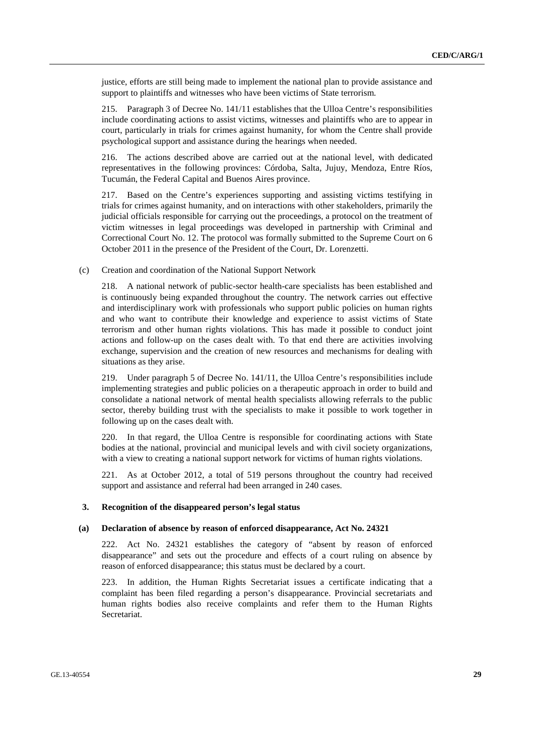justice, efforts are still being made to implement the national plan to provide assistance and support to plaintiffs and witnesses who have been victims of State terrorism.

215. Paragraph 3 of Decree No. 141/11 establishes that the Ulloa Centre's responsibilities include coordinating actions to assist victims, witnesses and plaintiffs who are to appear in court, particularly in trials for crimes against humanity, for whom the Centre shall provide psychological support and assistance during the hearings when needed.

216. The actions described above are carried out at the national level, with dedicated representatives in the following provinces: Córdoba, Salta, Jujuy, Mendoza, Entre Ríos, Tucumán, the Federal Capital and Buenos Aires province.

217. Based on the Centre's experiences supporting and assisting victims testifying in trials for crimes against humanity, and on interactions with other stakeholders, primarily the judicial officials responsible for carrying out the proceedings, a protocol on the treatment of victim witnesses in legal proceedings was developed in partnership with Criminal and Correctional Court No. 12. The protocol was formally submitted to the Supreme Court on 6 October 2011 in the presence of the President of the Court, Dr. Lorenzetti.

(c) Creation and coordination of the National Support Network

218. A national network of public-sector health-care specialists has been established and is continuously being expanded throughout the country. The network carries out effective and interdisciplinary work with professionals who support public policies on human rights and who want to contribute their knowledge and experience to assist victims of State terrorism and other human rights violations. This has made it possible to conduct joint actions and follow-up on the cases dealt with. To that end there are activities involving exchange, supervision and the creation of new resources and mechanisms for dealing with situations as they arise.

219. Under paragraph 5 of Decree No. 141/11, the Ulloa Centre's responsibilities include implementing strategies and public policies on a therapeutic approach in order to build and consolidate a national network of mental health specialists allowing referrals to the public sector, thereby building trust with the specialists to make it possible to work together in following up on the cases dealt with.

220. In that regard, the Ulloa Centre is responsible for coordinating actions with State bodies at the national, provincial and municipal levels and with civil society organizations, with a view to creating a national support network for victims of human rights violations.

221. As at October 2012, a total of 519 persons throughout the country had received support and assistance and referral had been arranged in 240 cases.

#### **3. Recognition of the disappeared person's legal status**

#### **(a) Declaration of absence by reason of enforced disappearance, Act No. 24321**

222. Act No. 24321 establishes the category of "absent by reason of enforced disappearance" and sets out the procedure and effects of a court ruling on absence by reason of enforced disappearance; this status must be declared by a court.

223. In addition, the Human Rights Secretariat issues a certificate indicating that a complaint has been filed regarding a person's disappearance. Provincial secretariats and human rights bodies also receive complaints and refer them to the Human Rights Secretariat.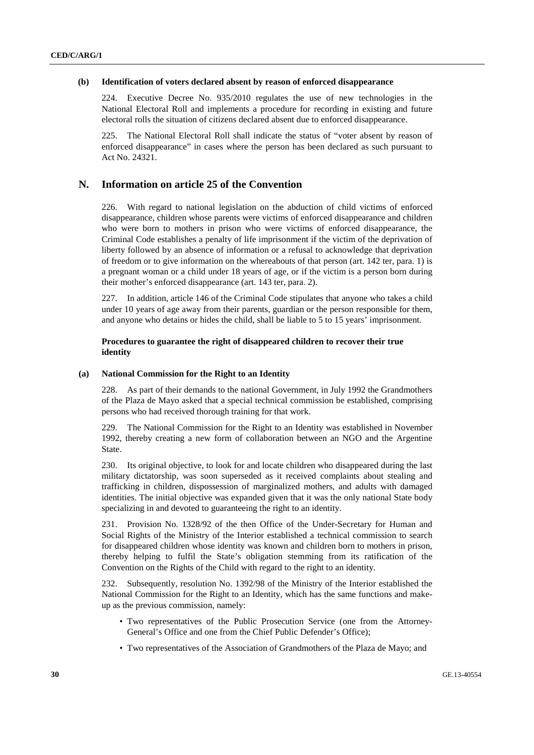### **(b) Identification of voters declared absent by reason of enforced disappearance**

224. Executive Decree No. 935/2010 regulates the use of new technologies in the National Electoral Roll and implements a procedure for recording in existing and future electoral rolls the situation of citizens declared absent due to enforced disappearance.

225. The National Electoral Roll shall indicate the status of "voter absent by reason of enforced disappearance" in cases where the person has been declared as such pursuant to Act No. 24321.

### **N. Information on article 25 of the Convention**

226. With regard to national legislation on the abduction of child victims of enforced disappearance, children whose parents were victims of enforced disappearance and children who were born to mothers in prison who were victims of enforced disappearance, the Criminal Code establishes a penalty of life imprisonment if the victim of the deprivation of liberty followed by an absence of information or a refusal to acknowledge that deprivation of freedom or to give information on the whereabouts of that person (art. 142 ter, para. 1) is a pregnant woman or a child under 18 years of age, or if the victim is a person born during their mother's enforced disappearance (art. 143 ter, para. 2).

227. In addition, article 146 of the Criminal Code stipulates that anyone who takes a child under 10 years of age away from their parents, guardian or the person responsible for them, and anyone who detains or hides the child, shall be liable to 5 to 15 years' imprisonment.

### **Procedures to guarantee the right of disappeared children to recover their true identity**

### **(a) National Commission for the Right to an Identity**

228. As part of their demands to the national Government, in July 1992 the Grandmothers of the Plaza de Mayo asked that a special technical commission be established, comprising persons who had received thorough training for that work.

229. The National Commission for the Right to an Identity was established in November 1992, thereby creating a new form of collaboration between an NGO and the Argentine State.

230. Its original objective, to look for and locate children who disappeared during the last military dictatorship, was soon superseded as it received complaints about stealing and trafficking in children, dispossession of marginalized mothers, and adults with damaged identities. The initial objective was expanded given that it was the only national State body specializing in and devoted to guaranteeing the right to an identity.

231. Provision No. 1328/92 of the then Office of the Under-Secretary for Human and Social Rights of the Ministry of the Interior established a technical commission to search for disappeared children whose identity was known and children born to mothers in prison, thereby helping to fulfil the State's obligation stemming from its ratification of the Convention on the Rights of the Child with regard to the right to an identity.

232. Subsequently, resolution No. 1392/98 of the Ministry of the Interior established the National Commission for the Right to an Identity, which has the same functions and makeup as the previous commission, namely:

- Two representatives of the Public Prosecution Service (one from the Attorney-General's Office and one from the Chief Public Defender's Office);
- Two representatives of the Association of Grandmothers of the Plaza de Mayo; and